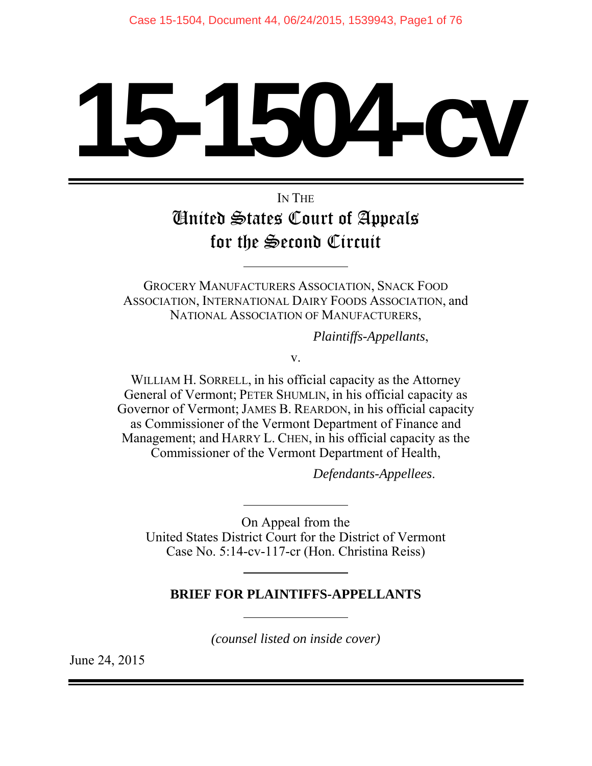# **1504**

# IN THE United States Court of Appeals for the Second Circuit

GROCERY MANUFACTURERS ASSOCIATION, SNACK FOOD ASSOCIATION, INTERNATIONAL DAIRY FOODS ASSOCIATION, and NATIONAL ASSOCIATION OF MANUFACTURERS,

*Plaintiffs-Appellants*,

v.

WILLIAM H. SORRELL, in his official capacity as the Attorney General of Vermont; PETER SHUMLIN, in his official capacity as Governor of Vermont; JAMES B. REARDON, in his official capacity as Commissioner of the Vermont Department of Finance and Management; and HARRY L. CHEN, in his official capacity as the Commissioner of the Vermont Department of Health,

*Defendants-Appellees*.

On Appeal from the United States District Court for the District of Vermont Case No. 5:14-cv-117-cr (Hon. Christina Reiss)

## **BRIEF FOR PLAINTIFFS-APPELLANTS**

*(counsel listed on inside cover)*

June 24, 2015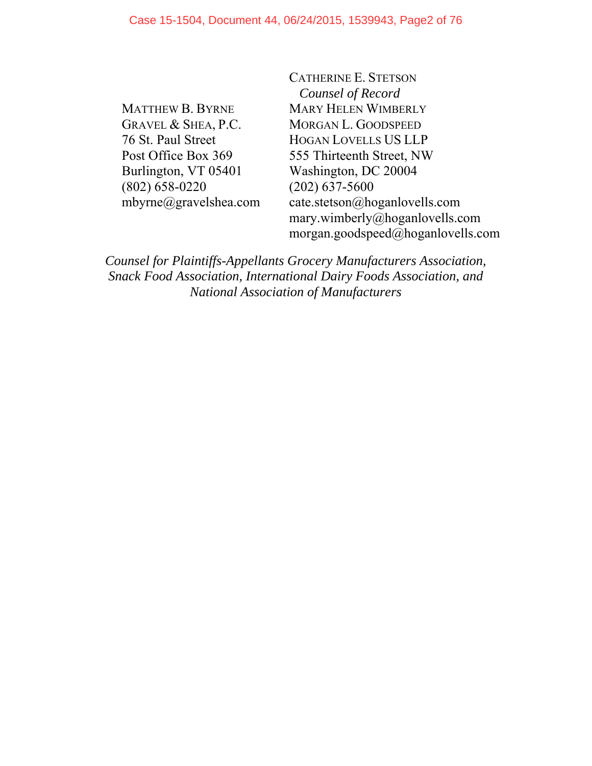MATTHEW B. BYRNE GRAVEL & SHEA, P.C. 76 St. Paul Street Post Office Box 369 Burlington, VT 05401 (802) 658-0220 mbyrne@gravelshea.com CATHERINE E. STETSON *Counsel of Record*  MARY HELEN WIMBERLY MORGAN L. GOODSPEED HOGAN LOVELLS US LLP 555 Thirteenth Street, NW Washington, DC 20004 (202) 637-5600 cate.stetson@hoganlovells.com mary.wimberly@hoganlovells.com morgan.goodspeed@hoganlovells.com

*Counsel for Plaintiffs-Appellants Grocery Manufacturers Association, Snack Food Association, International Dairy Foods Association, and National Association of Manufacturers*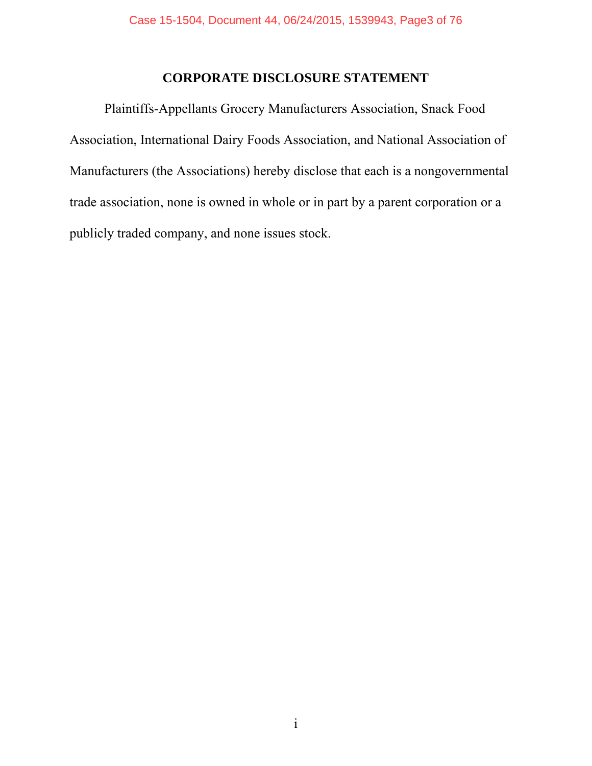#### **CORPORATE DISCLOSURE STATEMENT**

Plaintiffs-Appellants Grocery Manufacturers Association, Snack Food Association, International Dairy Foods Association, and National Association of Manufacturers (the Associations) hereby disclose that each is a nongovernmental trade association, none is owned in whole or in part by a parent corporation or a publicly traded company, and none issues stock.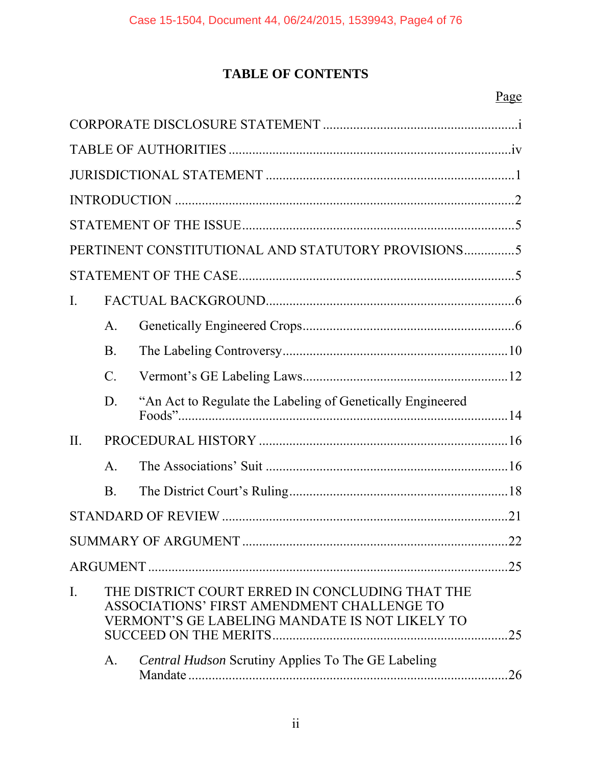# **TABLE OF CONTENTS**

# Page

|                  |                 | PERTINENT CONSTITUTIONAL AND STATUTORY PROVISIONS5                                                                                              |    |
|------------------|-----------------|-------------------------------------------------------------------------------------------------------------------------------------------------|----|
|                  |                 |                                                                                                                                                 |    |
| $\mathbf{I}$ .   |                 |                                                                                                                                                 |    |
|                  | A.              |                                                                                                                                                 |    |
|                  | B.              |                                                                                                                                                 |    |
|                  | $\mathcal{C}$ . |                                                                                                                                                 |    |
|                  | D.              | "An Act to Regulate the Labeling of Genetically Engineered                                                                                      |    |
| $\Pi$ .          |                 |                                                                                                                                                 |    |
|                  | $\mathsf{A}$ .  |                                                                                                                                                 |    |
|                  | <b>B</b> .      |                                                                                                                                                 |    |
|                  |                 |                                                                                                                                                 |    |
|                  |                 |                                                                                                                                                 |    |
|                  |                 |                                                                                                                                                 | 25 |
| $\overline{I}$ . |                 | THE DISTRICT COURT ERRED IN CONCLUDING THAT THE<br>ASSOCIATIONS' FIRST AMENDMENT CHALLENGE TO<br>VERMONT'S GE LABELING MANDATE IS NOT LIKELY TO | 25 |
|                  | A.              | <b>Central Hudson Scrutiny Applies To The GE Labeling</b>                                                                                       | 26 |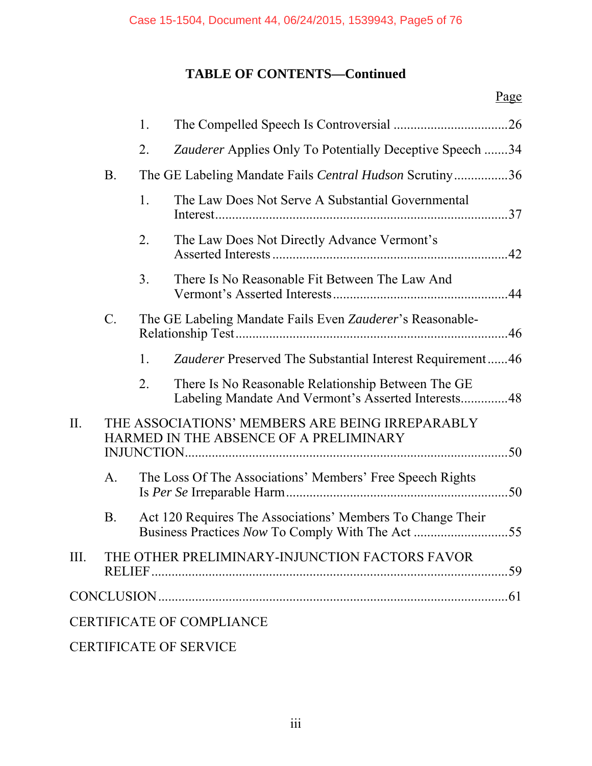# **TABLE OF CONTENTS—Continued**

|      |                 | 1.             |                                                                                                           |  |
|------|-----------------|----------------|-----------------------------------------------------------------------------------------------------------|--|
|      |                 | 2.             | Zauderer Applies Only To Potentially Deceptive Speech 34                                                  |  |
|      | <b>B.</b>       |                | The GE Labeling Mandate Fails Central Hudson Scrutiny36                                                   |  |
|      |                 | 1.             | The Law Does Not Serve A Substantial Governmental                                                         |  |
|      |                 | 2.             | The Law Does Not Directly Advance Vermont's                                                               |  |
|      |                 | 3 <sub>1</sub> | There Is No Reasonable Fit Between The Law And                                                            |  |
|      | $\mathcal{C}$ . |                | The GE Labeling Mandate Fails Even Zauderer's Reasonable-                                                 |  |
|      |                 | 1.             | Zauderer Preserved The Substantial Interest Requirement46                                                 |  |
|      |                 | 2.             | There Is No Reasonable Relationship Between The GE<br>Labeling Mandate And Vermont's Asserted Interests48 |  |
| II.  |                 |                | THE ASSOCIATIONS' MEMBERS ARE BEING IRREPARABLY<br>HARMED IN THE ABSENCE OF A PRELIMINARY                 |  |
|      | $\mathbf{A}$ .  |                | The Loss Of The Associations' Members' Free Speech Rights                                                 |  |
|      | B.              |                | Act 120 Requires The Associations' Members To Change Their                                                |  |
| III. |                 |                | THE OTHER PRELIMINARY-INJUNCTION FACTORS FAVOR                                                            |  |
|      |                 |                |                                                                                                           |  |
|      |                 |                | <b>CERTIFICATE OF COMPLIANCE</b>                                                                          |  |
|      |                 |                |                                                                                                           |  |

CERTIFICATE OF SERVICE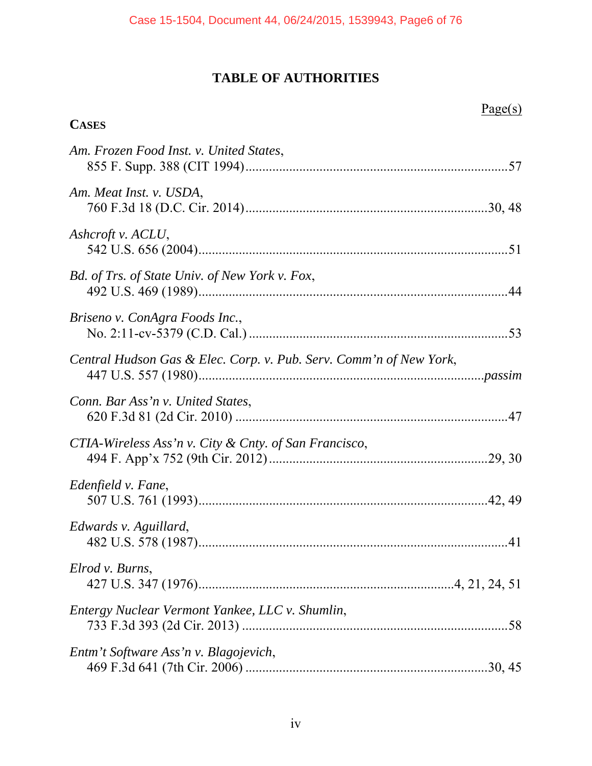# **TABLE OF AUTHORITIES**

| <b>CASES</b>                                                       | Page(s) |
|--------------------------------------------------------------------|---------|
|                                                                    |         |
| Am. Frozen Food Inst. v. United States,                            |         |
| Am. Meat Inst. v. USDA,                                            |         |
| Ashcroft v. ACLU,                                                  |         |
| <b>Bd.</b> of Trs. of State Univ. of New York v. Fox,              |         |
| Briseno v. ConAgra Foods Inc.,                                     |         |
| Central Hudson Gas & Elec. Corp. v. Pub. Serv. Comm'n of New York, |         |
| Conn. Bar Ass'n v. United States,                                  |         |
| CTIA-Wireless Ass'n v. City & Cnty. of San Francisco,              |         |
| Edenfield v. Fane,                                                 |         |
| Edwards v. Aguillard,                                              |         |
| Elrod v. Burns,                                                    |         |
| Entergy Nuclear Vermont Yankee, LLC v. Shumlin,                    |         |
| Entm't Software Ass'n v. Blagojevich,                              |         |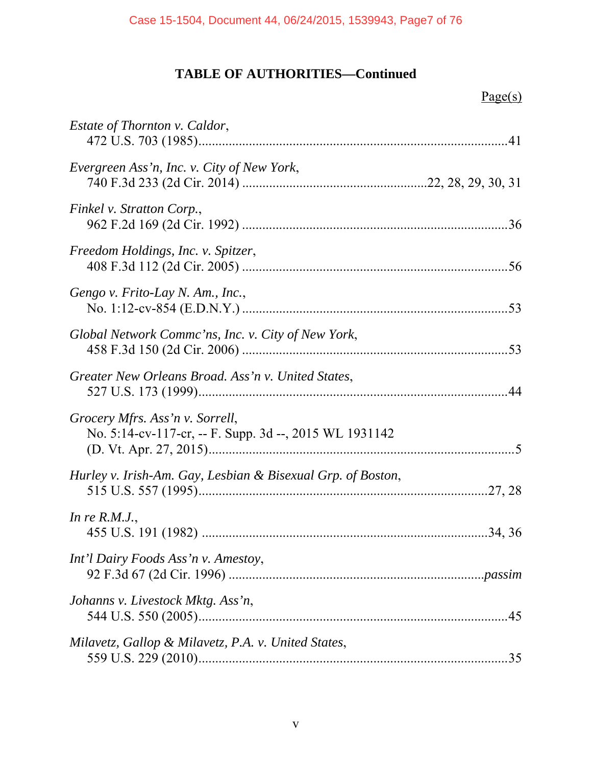| <i>Estate of Thornton v. Caldor,</i>                                                      |  |
|-------------------------------------------------------------------------------------------|--|
| Evergreen Ass'n, Inc. v. City of New York,                                                |  |
| Finkel v. Stratton Corp.,                                                                 |  |
| Freedom Holdings, Inc. v. Spitzer,                                                        |  |
| Gengo v. Frito-Lay N. Am., Inc.,                                                          |  |
| Global Network Commc'ns, Inc. v. City of New York,                                        |  |
| Greater New Orleans Broad. Ass'n v. United States,                                        |  |
| Grocery Mfrs. Ass'n v. Sorrell,<br>No. 5:14-cv-117-cr, -- F. Supp. 3d --, 2015 WL 1931142 |  |
| Hurley v. Irish-Am. Gay, Lesbian & Bisexual Grp. of Boston,                               |  |
| In re $R.M.J.,$                                                                           |  |
| Int'l Dairy Foods Ass'n v. Amestoy,                                                       |  |
| Johanns v. Livestock Mktg. Ass'n,                                                         |  |
| Milavetz, Gallop & Milavetz, P.A. v. United States,                                       |  |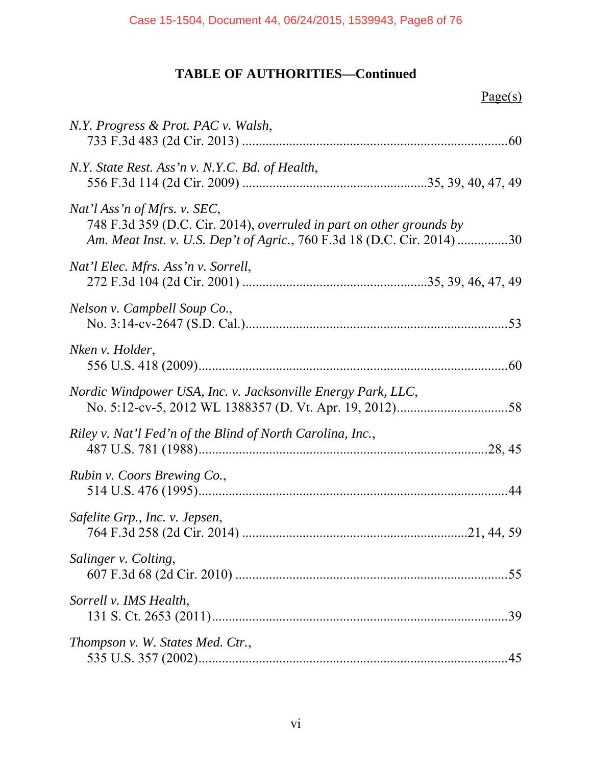| N.Y. Progress & Prot. PAC v. Walsh,                                                                                                                                            |     |
|--------------------------------------------------------------------------------------------------------------------------------------------------------------------------------|-----|
| N.Y. State Rest. Ass'n v. N.Y.C. Bd. of Health,                                                                                                                                |     |
| Nat'l Ass'n of Mfrs. v. SEC,<br>748 F.3d 359 (D.C. Cir. 2014), overruled in part on other grounds by<br>Am. Meat Inst. v. U.S. Dep't of Agric., 760 F.3d 18 (D.C. Cir. 2014)30 |     |
| Nat'l Elec. Mfrs. Ass'n v. Sorrell,                                                                                                                                            |     |
| Nelson v. Campbell Soup Co.,                                                                                                                                                   |     |
| Nken v. Holder,                                                                                                                                                                |     |
| Nordic Windpower USA, Inc. v. Jacksonville Energy Park, LLC,                                                                                                                   |     |
| Riley v. Nat'l Fed'n of the Blind of North Carolina, Inc.,                                                                                                                     |     |
| Rubin v. Coors Brewing Co.,                                                                                                                                                    |     |
| Safelite Grp., Inc. v. Jepsen,                                                                                                                                                 |     |
| Salinger v. Colting,                                                                                                                                                           | .55 |
| Sorrell v. IMS Health,                                                                                                                                                         | .39 |
| Thompson v. W. States Med. Ctr.,                                                                                                                                               |     |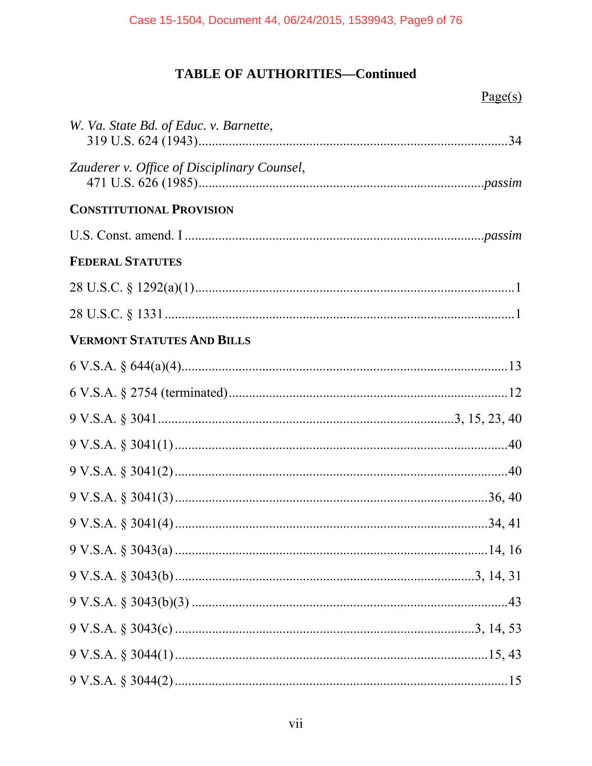| W. Va. State Bd. of Educ. v. Barnette,      |  |
|---------------------------------------------|--|
| Zauderer v. Office of Disciplinary Counsel, |  |
| <b>CONSTITUTIONAL PROVISION</b>             |  |
|                                             |  |
| <b>FEDERAL STATUTES</b>                     |  |
|                                             |  |
|                                             |  |
| <b>VERMONT STATUTES AND BILLS</b>           |  |
|                                             |  |
|                                             |  |
|                                             |  |
|                                             |  |
|                                             |  |
|                                             |  |
|                                             |  |
|                                             |  |
|                                             |  |
|                                             |  |
|                                             |  |
|                                             |  |
|                                             |  |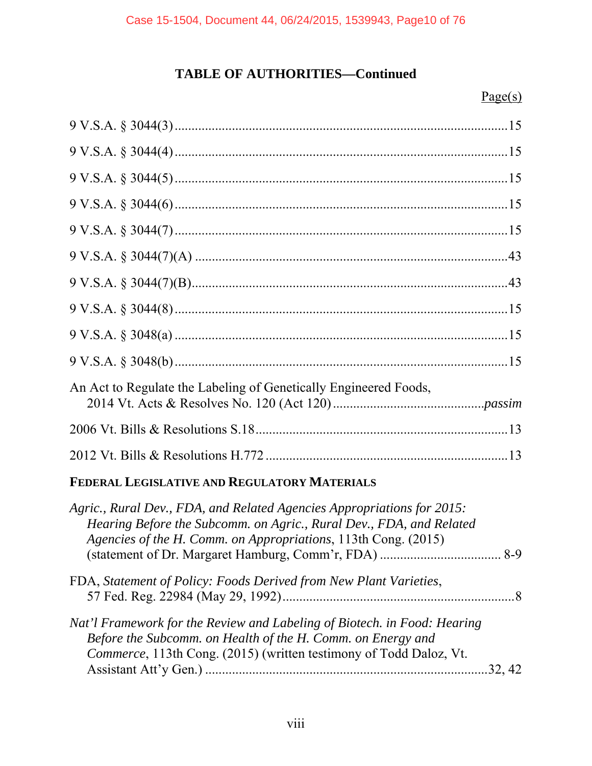#### $Page(s)$

| An Act to Regulate the Labeling of Genetically Engineered Foods, |  |
|------------------------------------------------------------------|--|
|                                                                  |  |
|                                                                  |  |
|                                                                  |  |

## **FEDERAL LEGISLATIVE AND REGULATORY MATERIALS**

| Agric., Rural Dev., FDA, and Related Agencies Appropriations for 2015:<br>Hearing Before the Subcomm. on Agric., Rural Dev., FDA, and Related<br>Agencies of the H. Comm. on Appropriations, 113th Cong. (2015) |         |
|-----------------------------------------------------------------------------------------------------------------------------------------------------------------------------------------------------------------|---------|
|                                                                                                                                                                                                                 |         |
| FDA, Statement of Policy: Foods Derived from New Plant Varieties,                                                                                                                                               |         |
| Nat'l Framework for the Review and Labeling of Biotech. in Food: Hearing<br>Before the Subcomm. on Health of the H. Comm. on Energy and<br>Commerce, 113th Cong. (2015) (written testimony of Todd Daloz, Vt.   | .32, 42 |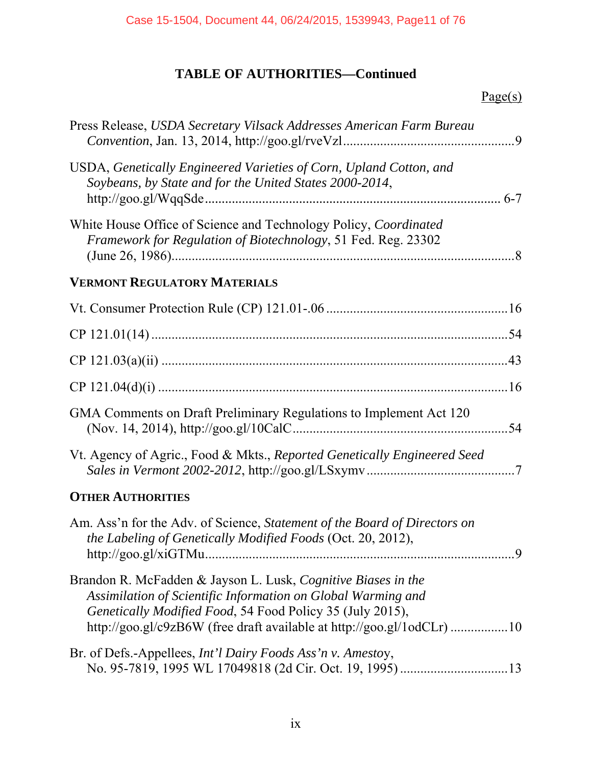| Press Release, USDA Secretary Vilsack Addresses American Farm Bureau                                                                                                                                                                                                 |  |
|----------------------------------------------------------------------------------------------------------------------------------------------------------------------------------------------------------------------------------------------------------------------|--|
| USDA, Genetically Engineered Varieties of Corn, Upland Cotton, and<br>Soybeans, by State and for the United States 2000-2014,                                                                                                                                        |  |
| White House Office of Science and Technology Policy, Coordinated<br>Framework for Regulation of Biotechnology, 51 Fed. Reg. 23302                                                                                                                                    |  |
| <b>VERMONT REGULATORY MATERIALS</b>                                                                                                                                                                                                                                  |  |
|                                                                                                                                                                                                                                                                      |  |
|                                                                                                                                                                                                                                                                      |  |
|                                                                                                                                                                                                                                                                      |  |
|                                                                                                                                                                                                                                                                      |  |
| GMA Comments on Draft Preliminary Regulations to Implement Act 120                                                                                                                                                                                                   |  |
| Vt. Agency of Agric., Food & Mkts., Reported Genetically Engineered Seed                                                                                                                                                                                             |  |
| <b>OTHER AUTHORITIES</b>                                                                                                                                                                                                                                             |  |
| Am. Ass'n for the Adv. of Science, Statement of the Board of Directors on<br>the Labeling of Genetically Modified Foods (Oct. 20, 2012),                                                                                                                             |  |
| Brandon R. McFadden & Jayson L. Lusk, Cognitive Biases in the<br>Assimilation of Scientific Information on Global Warming and<br>Genetically Modified Food, 54 Food Policy 35 (July 2015),<br>http://goo.gl/c9zB6W (free draft available at http://goo.gl/1odCLr) 10 |  |
| Br. of Defs.-Appellees, <i>Int'l Dairy Foods Ass'n v. Amestoy</i> ,                                                                                                                                                                                                  |  |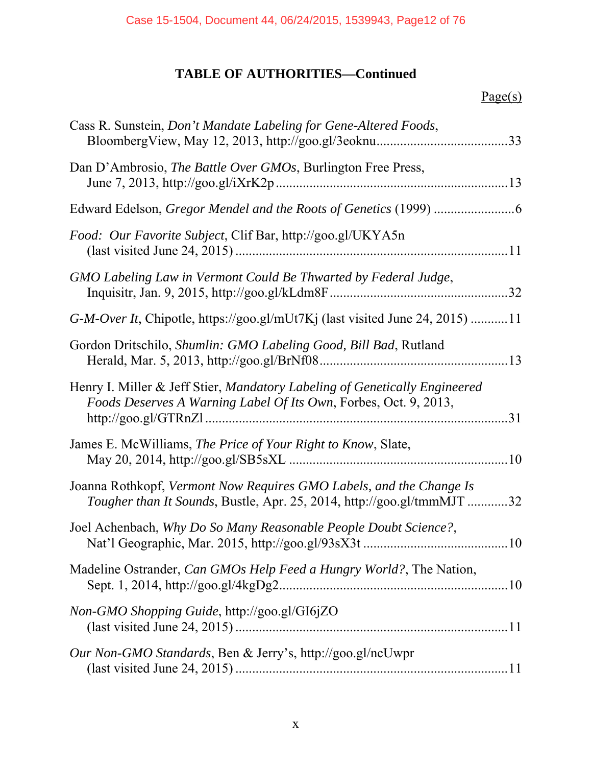| Cass R. Sunstein, Don't Mandate Labeling for Gene-Altered Foods,                                                                               | .33 |
|------------------------------------------------------------------------------------------------------------------------------------------------|-----|
| Dan D'Ambrosio, The Battle Over GMOs, Burlington Free Press,                                                                                   |     |
|                                                                                                                                                |     |
| Food: Our Favorite Subject, Clif Bar, http://goo.gl/UKYA5n                                                                                     |     |
| GMO Labeling Law in Vermont Could Be Thwarted by Federal Judge,                                                                                |     |
| G-M-Over It, Chipotle, https://goo.gl/mUt7Kj (last visited June 24, 2015) 11                                                                   |     |
| Gordon Dritschilo, Shumlin: GMO Labeling Good, Bill Bad, Rutland                                                                               |     |
| Henry I. Miller & Jeff Stier, Mandatory Labeling of Genetically Engineered<br>Foods Deserves A Warning Label Of Its Own, Forbes, Oct. 9, 2013, | 31  |
| James E. McWilliams, The Price of Your Right to Know, Slate,                                                                                   |     |
| Joanna Rothkopf, Vermont Now Requires GMO Labels, and the Change Is<br>Tougher than It Sounds, Bustle, Apr. 25, 2014, http://goo.gl/tmmMJT     | .32 |
| Joel Achenbach, Why Do So Many Reasonable People Doubt Science?,                                                                               |     |
| Madeline Ostrander, Can GMOs Help Feed a Hungry World?, The Nation,                                                                            |     |
| Non-GMO Shopping Guide, http://goo.gl/GI6jZO                                                                                                   |     |
| Our Non-GMO Standards, Ben & Jerry's, http://goo.gl/ncUwpr                                                                                     |     |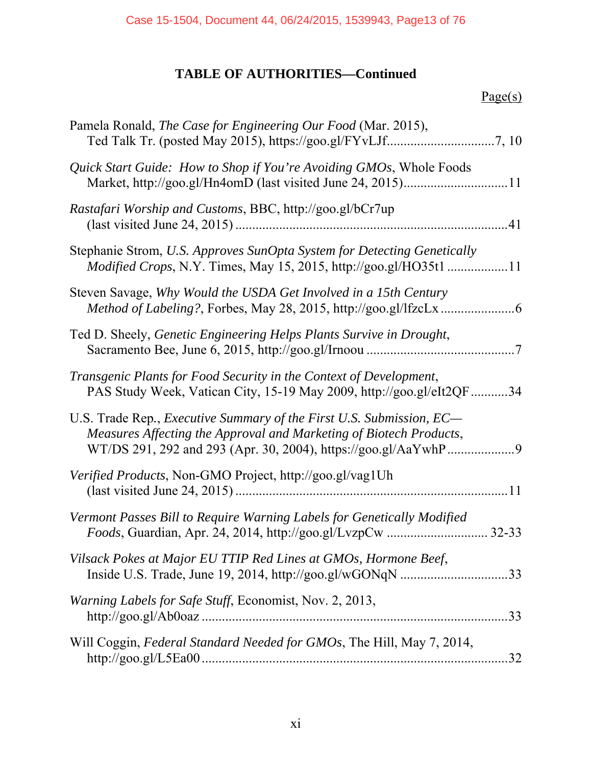| Pamela Ronald, The Case for Engineering Our Food (Mar. 2015),                                                                               |  |
|---------------------------------------------------------------------------------------------------------------------------------------------|--|
| Quick Start Guide: How to Shop if You're Avoiding GMOs, Whole Foods                                                                         |  |
| Rastafari Worship and Customs, BBC, http://goo.gl/bCr7up                                                                                    |  |
| Stephanie Strom, U.S. Approves SunOpta System for Detecting Genetically<br>Modified Crops, N.Y. Times, May 15, 2015, http://goo.gl/HO35t111 |  |
| Steven Savage, Why Would the USDA Get Involved in a 15th Century                                                                            |  |
| Ted D. Sheely, Genetic Engineering Helps Plants Survive in Drought,                                                                         |  |
| Transgenic Plants for Food Security in the Context of Development,<br>PAS Study Week, Vatican City, 15-19 May 2009, http://goo.gl/eIt2QF34  |  |
| U.S. Trade Rep., Executive Summary of the First U.S. Submission, EC-<br>Measures Affecting the Approval and Marketing of Biotech Products,  |  |
| Verified Products, Non-GMO Project, http://goo.gl/vag1Uh                                                                                    |  |
| Vermont Passes Bill to Require Warning Labels for Genetically Modified                                                                      |  |
| Vilsack Pokes at Major EU TTIP Red Lines at GMOs, Hormone Beef,                                                                             |  |
| Warning Labels for Safe Stuff, Economist, Nov. 2, 2013,                                                                                     |  |
| Will Coggin, Federal Standard Needed for GMOs, The Hill, May 7, 2014,                                                                       |  |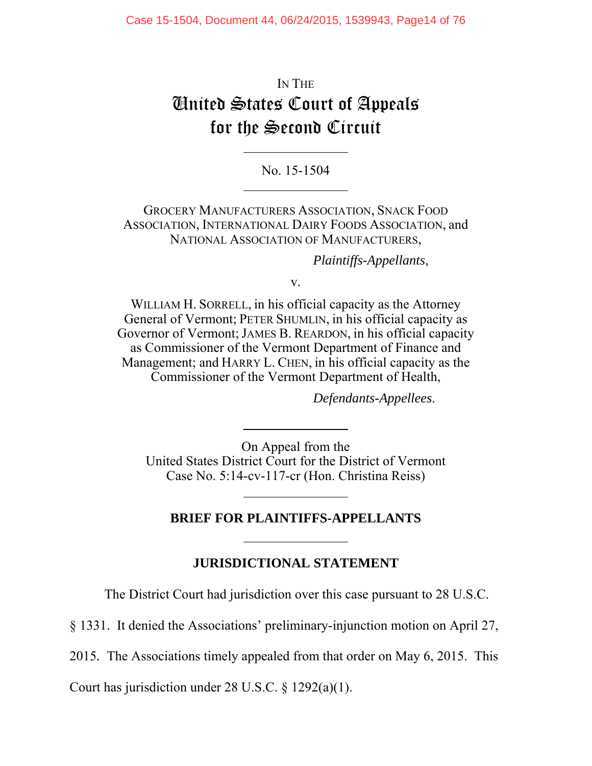IN THE United States Court of Appeals for the Second Circuit

No. 15-1504

 $\overline{a}$ 

GROCERY MANUFACTURERS ASSOCIATION, SNACK FOOD ASSOCIATION, INTERNATIONAL DAIRY FOODS ASSOCIATION, and NATIONAL ASSOCIATION OF MANUFACTURERS,

*Plaintiffs-Appellants*,

v.

WILLIAM H. SORRELL, in his official capacity as the Attorney General of Vermont; PETER SHUMLIN, in his official capacity as Governor of Vermont; JAMES B. REARDON, in his official capacity as Commissioner of the Vermont Department of Finance and Management; and HARRY L. CHEN, in his official capacity as the Commissioner of the Vermont Department of Health,

*Defendants-Appellees*.

On Appeal from the United States District Court for the District of Vermont Case No. 5:14-cv-117-cr (Hon. Christina Reiss)

#### **BRIEF FOR PLAINTIFFS-APPELLANTS**

#### **JURISDICTIONAL STATEMENT**

The District Court had jurisdiction over this case pursuant to 28 U.S.C.

§ 1331. It denied the Associations' preliminary-injunction motion on April 27,

2015*.* The Associations timely appealed from that order on May 6, 2015. This

Court has jurisdiction under 28 U.S.C. § 1292(a)(1).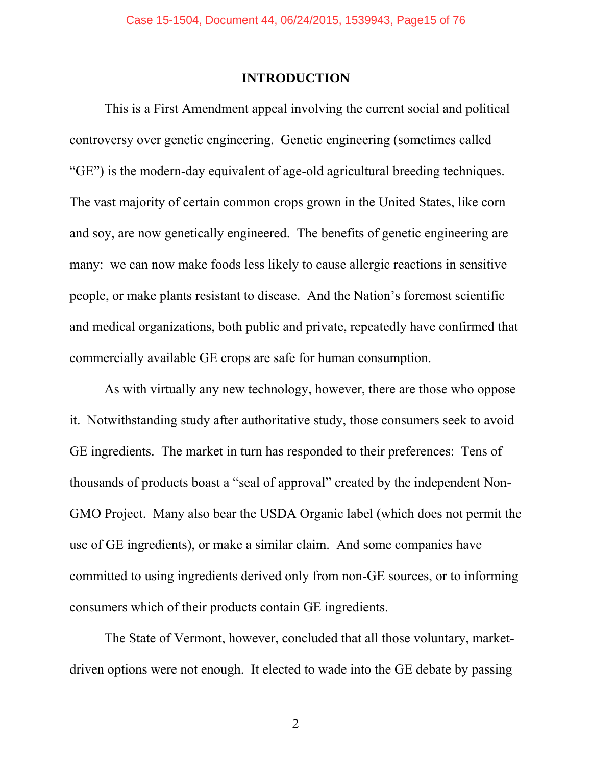#### **INTRODUCTION**

This is a First Amendment appeal involving the current social and political controversy over genetic engineering. Genetic engineering (sometimes called "GE") is the modern-day equivalent of age-old agricultural breeding techniques. The vast majority of certain common crops grown in the United States, like corn and soy, are now genetically engineered. The benefits of genetic engineering are many: we can now make foods less likely to cause allergic reactions in sensitive people, or make plants resistant to disease. And the Nation's foremost scientific and medical organizations, both public and private, repeatedly have confirmed that commercially available GE crops are safe for human consumption.

As with virtually any new technology, however, there are those who oppose it. Notwithstanding study after authoritative study, those consumers seek to avoid GE ingredients. The market in turn has responded to their preferences: Tens of thousands of products boast a "seal of approval" created by the independent Non-GMO Project. Many also bear the USDA Organic label (which does not permit the use of GE ingredients), or make a similar claim. And some companies have committed to using ingredients derived only from non-GE sources, or to informing consumers which of their products contain GE ingredients.

The State of Vermont, however, concluded that all those voluntary, marketdriven options were not enough. It elected to wade into the GE debate by passing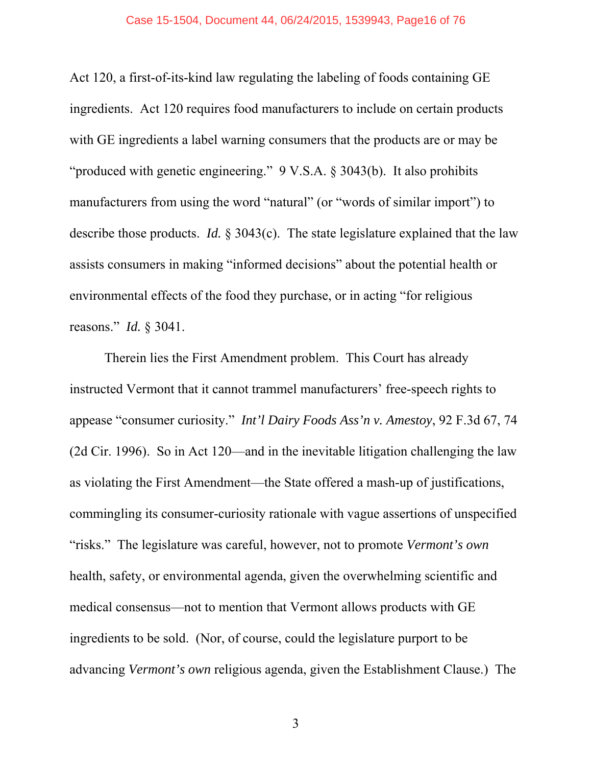Act 120, a first-of-its-kind law regulating the labeling of foods containing GE ingredients. Act 120 requires food manufacturers to include on certain products with GE ingredients a label warning consumers that the products are or may be "produced with genetic engineering." 9 V.S.A. § 3043(b). It also prohibits manufacturers from using the word "natural" (or "words of similar import") to describe those products. *Id.* § 3043(c). The state legislature explained that the law assists consumers in making "informed decisions" about the potential health or environmental effects of the food they purchase, or in acting "for religious reasons." *Id.* § 3041.

Therein lies the First Amendment problem. This Court has already instructed Vermont that it cannot trammel manufacturers' free-speech rights to appease "consumer curiosity." *Int'l Dairy Foods Ass'n v. Amestoy*, 92 F.3d 67, 74 (2d Cir. 1996). So in Act 120—and in the inevitable litigation challenging the law as violating the First Amendment—the State offered a mash-up of justifications, commingling its consumer-curiosity rationale with vague assertions of unspecified "risks." The legislature was careful, however, not to promote *Vermont's own* health, safety, or environmental agenda, given the overwhelming scientific and medical consensus—not to mention that Vermont allows products with GE ingredients to be sold. (Nor, of course, could the legislature purport to be advancing *Vermont's own* religious agenda, given the Establishment Clause.) The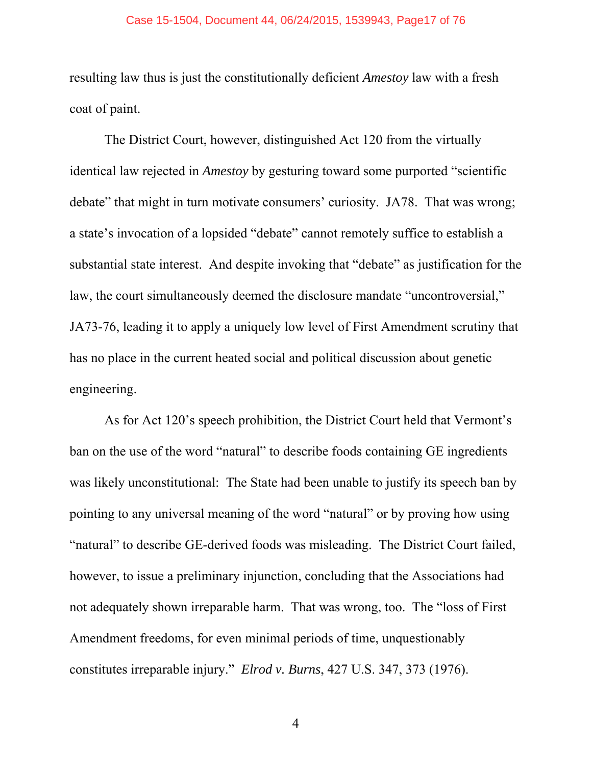resulting law thus is just the constitutionally deficient *Amestoy* law with a fresh coat of paint.

The District Court, however, distinguished Act 120 from the virtually identical law rejected in *Amestoy* by gesturing toward some purported "scientific debate" that might in turn motivate consumers' curiosity. JA78. That was wrong; a state's invocation of a lopsided "debate" cannot remotely suffice to establish a substantial state interest. And despite invoking that "debate" as justification for the law, the court simultaneously deemed the disclosure mandate "uncontroversial," JA73-76, leading it to apply a uniquely low level of First Amendment scrutiny that has no place in the current heated social and political discussion about genetic engineering.

As for Act 120's speech prohibition, the District Court held that Vermont's ban on the use of the word "natural" to describe foods containing GE ingredients was likely unconstitutional: The State had been unable to justify its speech ban by pointing to any universal meaning of the word "natural" or by proving how using "natural" to describe GE-derived foods was misleading. The District Court failed, however, to issue a preliminary injunction, concluding that the Associations had not adequately shown irreparable harm. That was wrong, too. The "loss of First Amendment freedoms, for even minimal periods of time, unquestionably constitutes irreparable injury." *Elrod v. Burns*, 427 U.S. 347, 373 (1976).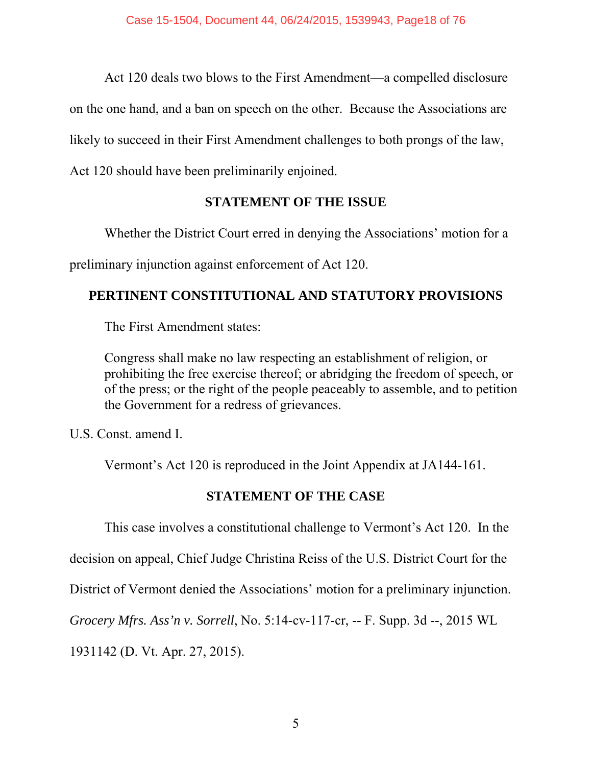Act 120 deals two blows to the First Amendment—a compelled disclosure

on the one hand, and a ban on speech on the other. Because the Associations are

likely to succeed in their First Amendment challenges to both prongs of the law,

Act 120 should have been preliminarily enjoined.

## **STATEMENT OF THE ISSUE**

Whether the District Court erred in denying the Associations' motion for a

preliminary injunction against enforcement of Act 120.

## **PERTINENT CONSTITUTIONAL AND STATUTORY PROVISIONS**

The First Amendment states:

Congress shall make no law respecting an establishment of religion, or prohibiting the free exercise thereof; or abridging the freedom of speech, or of the press; or the right of the people peaceably to assemble, and to petition the Government for a redress of grievances.

U.S. Const. amend I.

Vermont's Act 120 is reproduced in the Joint Appendix at JA144-161.

## **STATEMENT OF THE CASE**

This case involves a constitutional challenge to Vermont's Act 120. In the

decision on appeal, Chief Judge Christina Reiss of the U.S. District Court for the

District of Vermont denied the Associations' motion for a preliminary injunction.

*Grocery Mfrs. Ass'n v. Sorrell*, No. 5:14-cv-117-cr, -- F. Supp. 3d --, 2015 WL

1931142 (D. Vt. Apr. 27, 2015).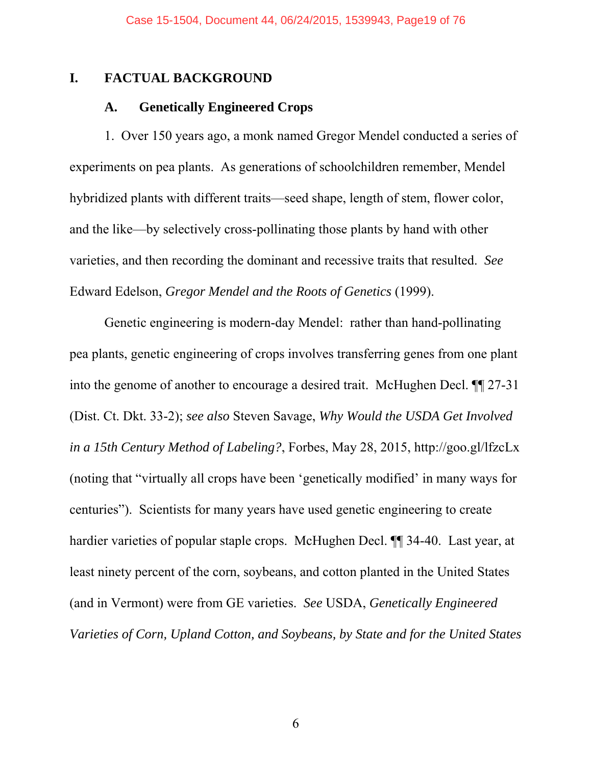#### **I. FACTUAL BACKGROUND**

#### **A. Genetically Engineered Crops**

1. Over 150 years ago, a monk named Gregor Mendel conducted a series of experiments on pea plants. As generations of schoolchildren remember, Mendel hybridized plants with different traits—seed shape, length of stem, flower color, and the like—by selectively cross-pollinating those plants by hand with other varieties, and then recording the dominant and recessive traits that resulted. *See* Edward Edelson, *Gregor Mendel and the Roots of Genetics* (1999).

Genetic engineering is modern-day Mendel: rather than hand-pollinating pea plants, genetic engineering of crops involves transferring genes from one plant into the genome of another to encourage a desired trait. McHughen Decl. ¶¶ 27-31 (Dist. Ct. Dkt. 33-2); *see also* Steven Savage, *Why Would the USDA Get Involved in a 15th Century Method of Labeling?*, Forbes, May 28, 2015, http://goo.gl/lfzcLx (noting that "virtually all crops have been 'genetically modified' in many ways for centuries"). Scientists for many years have used genetic engineering to create hardier varieties of popular staple crops. McHughen Decl.  $\P$  34-40. Last year, at least ninety percent of the corn, soybeans, and cotton planted in the United States (and in Vermont) were from GE varieties. *See* USDA, *Genetically Engineered Varieties of Corn, Upland Cotton, and Soybeans, by State and for the United States*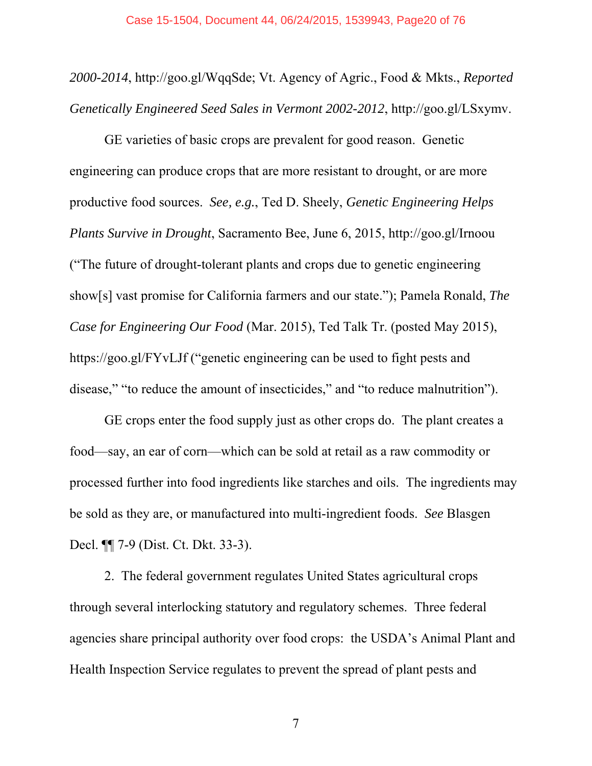*2000-2014*, http://goo.gl/WqqSde; Vt. Agency of Agric., Food & Mkts., *Reported Genetically Engineered Seed Sales in Vermont 2002-2012*, http://goo.gl/LSxymv.

GE varieties of basic crops are prevalent for good reason. Genetic engineering can produce crops that are more resistant to drought, or are more productive food sources. *See, e.g.*, Ted D. Sheely, *Genetic Engineering Helps Plants Survive in Drought*, Sacramento Bee, June 6, 2015, http://goo.gl/Irnoou ("The future of drought-tolerant plants and crops due to genetic engineering show[s] vast promise for California farmers and our state."); Pamela Ronald, *The Case for Engineering Our Food* (Mar. 2015), Ted Talk Tr. (posted May 2015), https://goo.gl/FYvLJf ("genetic engineering can be used to fight pests and disease," "to reduce the amount of insecticides," and "to reduce malnutrition").

GE crops enter the food supply just as other crops do. The plant creates a food—say, an ear of corn—which can be sold at retail as a raw commodity or processed further into food ingredients like starches and oils. The ingredients may be sold as they are, or manufactured into multi-ingredient foods. *See* Blasgen Decl. ¶¶ 7-9 (Dist. Ct. Dkt. 33-3).

2. The federal government regulates United States agricultural crops through several interlocking statutory and regulatory schemes. Three federal agencies share principal authority over food crops: the USDA's Animal Plant and Health Inspection Service regulates to prevent the spread of plant pests and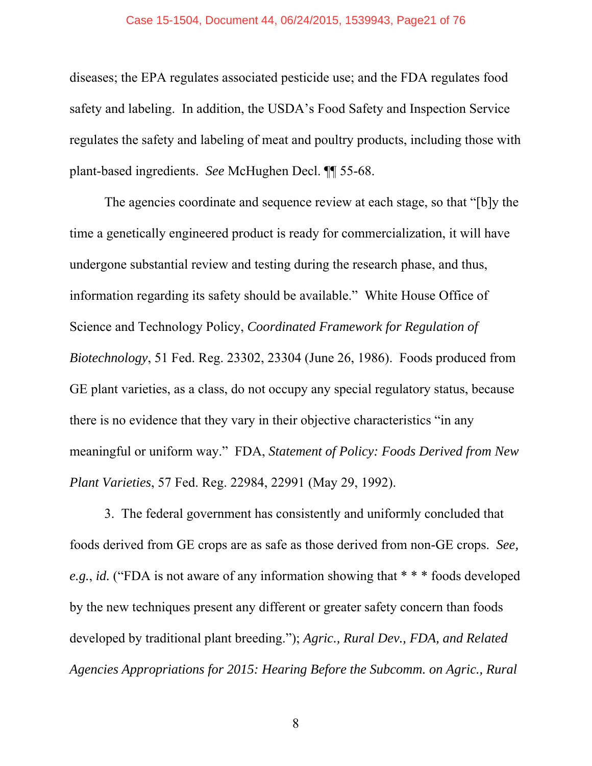#### Case 15-1504, Document 44, 06/24/2015, 1539943, Page21 of 76

diseases; the EPA regulates associated pesticide use; and the FDA regulates food safety and labeling. In addition, the USDA's Food Safety and Inspection Service regulates the safety and labeling of meat and poultry products, including those with plant-based ingredients. *See* McHughen Decl. ¶¶ 55-68.

The agencies coordinate and sequence review at each stage, so that "[b]y the time a genetically engineered product is ready for commercialization, it will have undergone substantial review and testing during the research phase, and thus, information regarding its safety should be available." White House Office of Science and Technology Policy, *Coordinated Framework for Regulation of Biotechnology*, 51 Fed. Reg. 23302, 23304 (June 26, 1986). Foods produced from GE plant varieties, as a class, do not occupy any special regulatory status, because there is no evidence that they vary in their objective characteristics "in any meaningful or uniform way." FDA, *Statement of Policy: Foods Derived from New Plant Varieties*, 57 Fed. Reg. 22984, 22991 (May 29, 1992).

3. The federal government has consistently and uniformly concluded that foods derived from GE crops are as safe as those derived from non-GE crops. *See, e.g.*, *id.* ("FDA is not aware of any information showing that \* \* \* foods developed by the new techniques present any different or greater safety concern than foods developed by traditional plant breeding."); *Agric., Rural Dev., FDA, and Related Agencies Appropriations for 2015: Hearing Before the Subcomm. on Agric., Rural*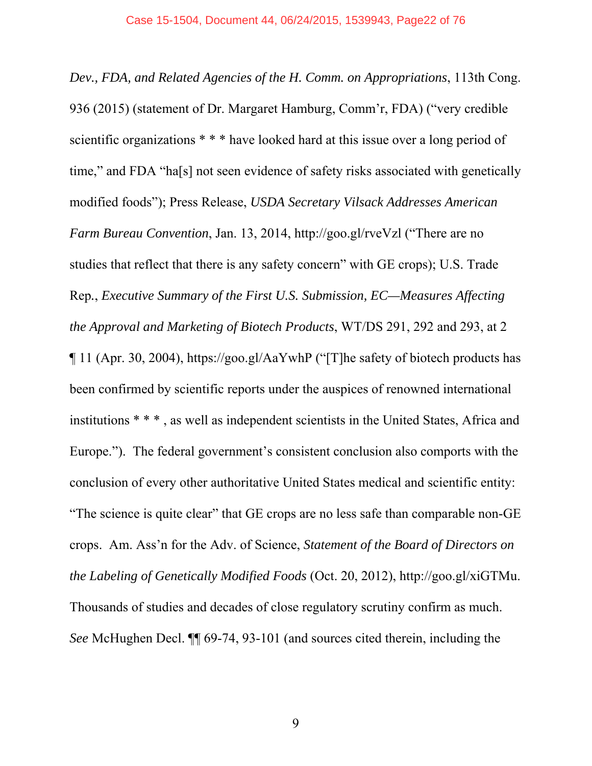*Dev., FDA, and Related Agencies of the H. Comm. on Appropriations*, 113th Cong. 936 (2015) (statement of Dr. Margaret Hamburg, Comm'r, FDA) ("very credible scientific organizations \* \* \* have looked hard at this issue over a long period of time," and FDA "ha[s] not seen evidence of safety risks associated with genetically modified foods"); Press Release, *USDA Secretary Vilsack Addresses American Farm Bureau Convention*, Jan. 13, 2014, http://goo.gl/rveVzl ("There are no studies that reflect that there is any safety concern" with GE crops); U.S. Trade Rep*.*, *Executive Summary of the First U.S. Submission, EC—Measures Affecting the Approval and Marketing of Biotech Products*, WT/DS 291, 292 and 293, at 2 ¶ 11 (Apr. 30, 2004), https://goo.gl/AaYwhP ("[T]he safety of biotech products has been confirmed by scientific reports under the auspices of renowned international institutions \* \* \* , as well as independent scientists in the United States, Africa and Europe."). The federal government's consistent conclusion also comports with the conclusion of every other authoritative United States medical and scientific entity: "The science is quite clear" that GE crops are no less safe than comparable non-GE crops. Am. Ass'n for the Adv. of Science, *Statement of the Board of Directors on the Labeling of Genetically Modified Foods* (Oct. 20, 2012), http://goo.gl/xiGTMu. Thousands of studies and decades of close regulatory scrutiny confirm as much. *See* McHughen Decl. ¶¶ 69-74, 93-101 (and sources cited therein, including the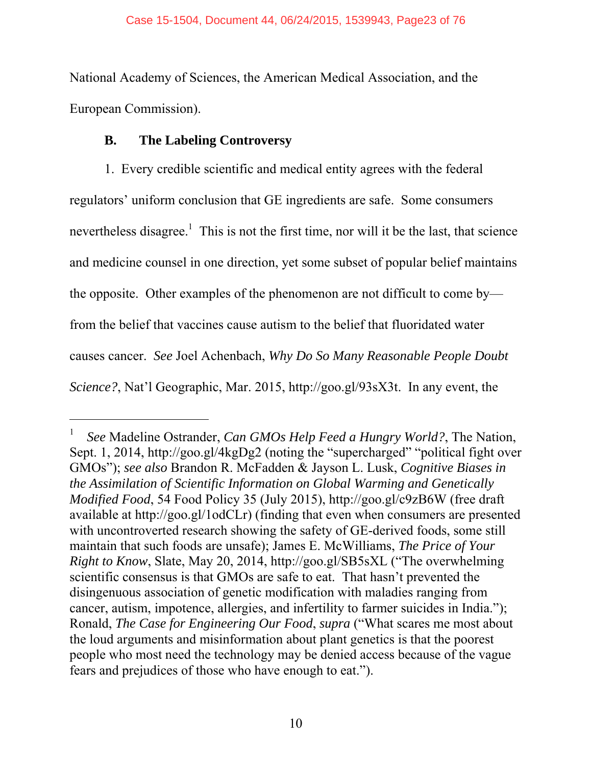National Academy of Sciences, the American Medical Association, and the European Commission).

## **B. The Labeling Controversy**

 $\overline{a}$ 

1. Every credible scientific and medical entity agrees with the federal regulators' uniform conclusion that GE ingredients are safe. Some consumers nevertheless disagree.<sup>1</sup> This is not the first time, nor will it be the last, that science and medicine counsel in one direction, yet some subset of popular belief maintains the opposite. Other examples of the phenomenon are not difficult to come by from the belief that vaccines cause autism to the belief that fluoridated water causes cancer. *See* Joel Achenbach, *Why Do So Many Reasonable People Doubt Science?*, Nat'l Geographic, Mar. 2015, http://goo.gl/93sX3t. In any event, the

<sup>1</sup> *See* Madeline Ostrander, *Can GMOs Help Feed a Hungry World?*, The Nation, Sept. 1, 2014, http://goo.gl/4kgDg2 (noting the "supercharged" "political fight over GMOs"); *see also* Brandon R. McFadden & Jayson L. Lusk, *Cognitive Biases in the Assimilation of Scientific Information on Global Warming and Genetically Modified Food*, 54 Food Policy 35 (July 2015), http://goo.gl/c9zB6W (free draft available at http://goo.gl/1odCLr) (finding that even when consumers are presented with uncontroverted research showing the safety of GE-derived foods, some still maintain that such foods are unsafe); James E. McWilliams, *The Price of Your Right to Know*, Slate, May 20, 2014, http://goo.gl/SB5sXL ("The overwhelming scientific consensus is that GMOs are safe to eat. That hasn't prevented the disingenuous association of genetic modification with maladies ranging from cancer, autism, impotence, allergies, and infertility to farmer suicides in India."); Ronald, *The Case for Engineering Our Food*, *supra* ("What scares me most about the loud arguments and misinformation about plant genetics is that the poorest people who most need the technology may be denied access because of the vague fears and prejudices of those who have enough to eat.").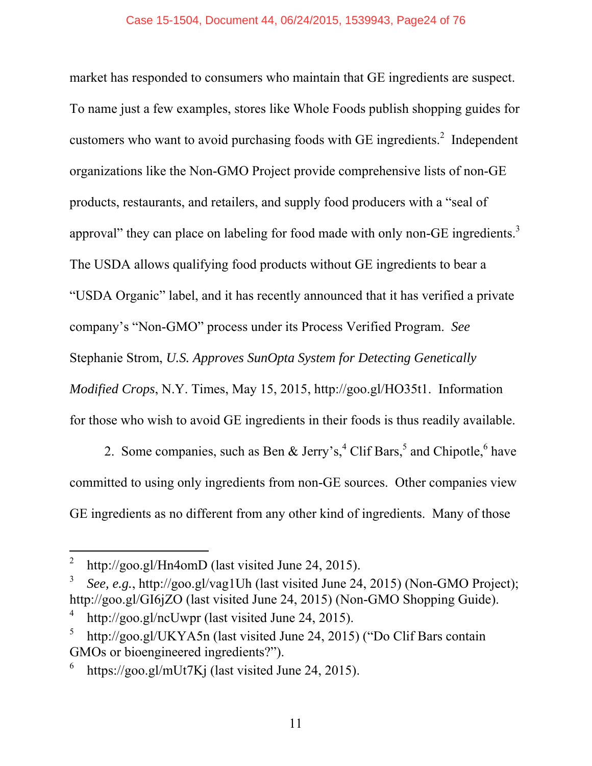market has responded to consumers who maintain that GE ingredients are suspect. To name just a few examples, stores like Whole Foods publish shopping guides for customers who want to avoid purchasing foods with GE ingredients. $2$  Independent organizations like the Non-GMO Project provide comprehensive lists of non-GE products, restaurants, and retailers, and supply food producers with a "seal of approval" they can place on labeling for food made with only non-GE ingredients. $3$ The USDA allows qualifying food products without GE ingredients to bear a "USDA Organic" label, and it has recently announced that it has verified a private company's "Non-GMO" process under its Process Verified Program. *See* Stephanie Strom, *U.S. Approves SunOpta System for Detecting Genetically Modified Crops*, N.Y. Times, May 15, 2015, http://goo.gl/HO35t1. Information for those who wish to avoid GE ingredients in their foods is thus readily available.

2. Some companies, such as Ben & Jerry's,  $^{4}$  Clif Bars,  $^{5}$  and Chipotle,  $^{6}$  have committed to using only ingredients from non-GE sources. Other companies view GE ingredients as no different from any other kind of ingredients. Many of those

l

<sup>2</sup> http://goo.gl/Hn4omD (last visited June 24, 2015).

<sup>3</sup> *See, e.g.*, http://goo.gl/vag1Uh (last visited June 24, 2015) (Non-GMO Project); http://goo.gl/GI6jZO (last visited June 24, 2015) (Non-GMO Shopping Guide).

<sup>4</sup> http://goo.gl/ncUwpr (last visited June 24, 2015).

<sup>5</sup> http://goo.gl/UKYA5n (last visited June 24, 2015) ("Do Clif Bars contain GMOs or bioengineered ingredients?").

<sup>6</sup> https://goo.gl/mUt7Kj (last visited June 24, 2015).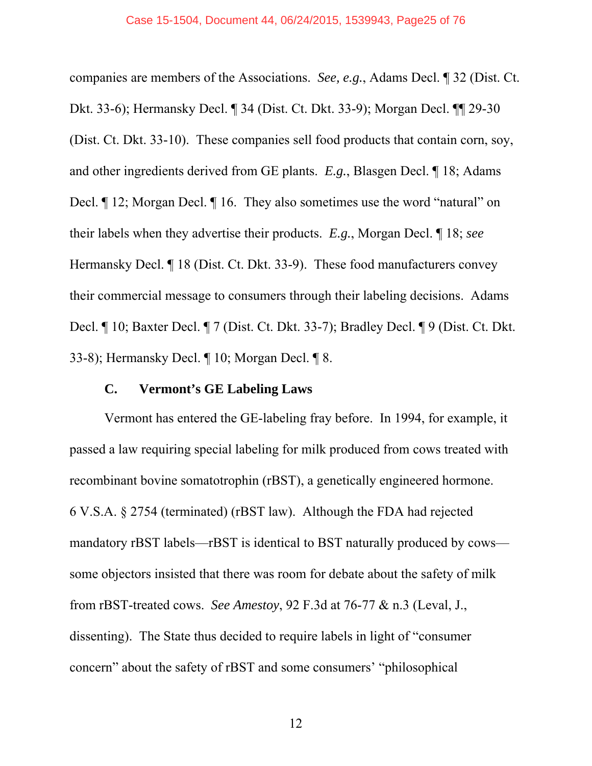companies are members of the Associations. *See, e.g.*, Adams Decl. ¶ 32 (Dist. Ct. Dkt. 33-6); Hermansky Decl. ¶ 34 (Dist. Ct. Dkt. 33-9); Morgan Decl. ¶¶ 29-30 (Dist. Ct. Dkt. 33-10). These companies sell food products that contain corn, soy, and other ingredients derived from GE plants. *E.g.*, Blasgen Decl. ¶ 18; Adams Decl. ¶ 12; Morgan Decl. ¶ 16. They also sometimes use the word "natural" on their labels when they advertise their products. *E.g.*, Morgan Decl. ¶ 18; *see*  Hermansky Decl. ¶ 18 (Dist. Ct. Dkt. 33-9). These food manufacturers convey their commercial message to consumers through their labeling decisions. Adams Decl. ¶ 10; Baxter Decl. ¶ 7 (Dist. Ct. Dkt. 33-7); Bradley Decl. ¶ 9 (Dist. Ct. Dkt. 33-8); Hermansky Decl. ¶ 10; Morgan Decl. ¶ 8.

#### **C. Vermont's GE Labeling Laws**

Vermont has entered the GE-labeling fray before. In 1994, for example, it passed a law requiring special labeling for milk produced from cows treated with recombinant bovine somatotrophin (rBST), a genetically engineered hormone. 6 V.S.A. § 2754 (terminated) (rBST law). Although the FDA had rejected mandatory rBST labels—rBST is identical to BST naturally produced by cows some objectors insisted that there was room for debate about the safety of milk from rBST-treated cows. *See Amestoy*, 92 F.3d at 76-77 & n.3 (Leval, J., dissenting). The State thus decided to require labels in light of "consumer concern" about the safety of rBST and some consumers' "philosophical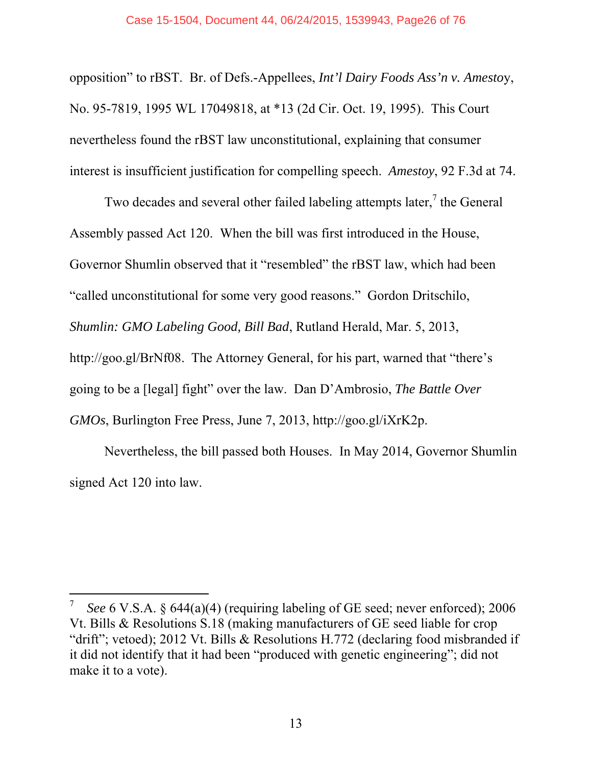#### Case 15-1504, Document 44, 06/24/2015, 1539943, Page26 of 76

opposition" to rBST. Br. of Defs.-Appellees, *Int'l Dairy Foods Ass'n v. Amesto*y, No. 95-7819, 1995 WL 17049818, at \*13 (2d Cir. Oct. 19, 1995). This Court nevertheless found the rBST law unconstitutional, explaining that consumer interest is insufficient justification for compelling speech. *Amestoy*, 92 F.3d at 74.

Two decades and several other failed labeling attempts later, $\frac{7}{1}$  the General Assembly passed Act 120. When the bill was first introduced in the House, Governor Shumlin observed that it "resembled" the rBST law, which had been "called unconstitutional for some very good reasons." Gordon Dritschilo, *Shumlin: GMO Labeling Good, Bill Bad*, Rutland Herald, Mar. 5, 2013, http://goo.gl/BrNf08. The Attorney General, for his part, warned that "there's going to be a [legal] fight" over the law. Dan D'Ambrosio, *The Battle Over GMOs*, Burlington Free Press, June 7, 2013, http://goo.gl/iXrK2p.

Nevertheless, the bill passed both Houses. In May 2014, Governor Shumlin signed Act 120 into law.

l

<sup>7</sup> *See* 6 V.S.A. § 644(a)(4) (requiring labeling of GE seed; never enforced); 2006 Vt. Bills & Resolutions S.18 (making manufacturers of GE seed liable for crop "drift"; vetoed); 2012 Vt. Bills & Resolutions H.772 (declaring food misbranded if it did not identify that it had been "produced with genetic engineering"; did not make it to a vote).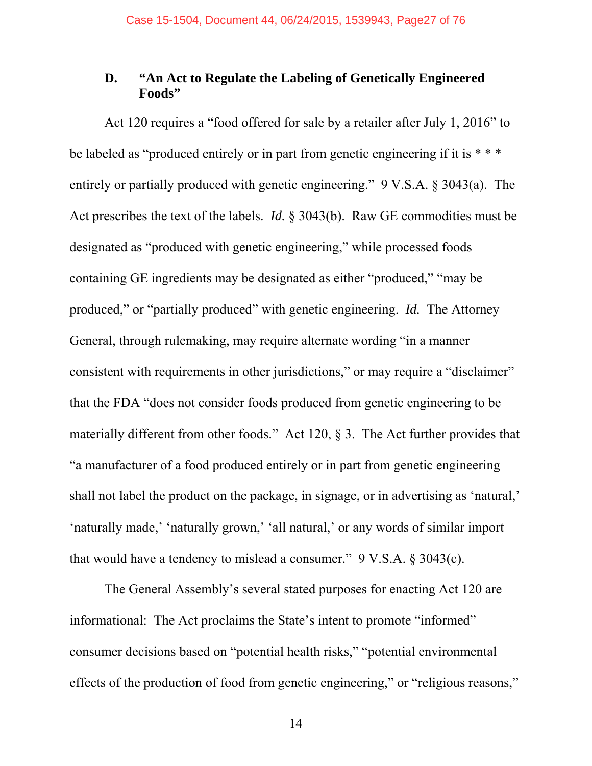## **D. "An Act to Regulate the Labeling of Genetically Engineered Foods"**

Act 120 requires a "food offered for sale by a retailer after July 1, 2016" to be labeled as "produced entirely or in part from genetic engineering if it is \*\*\* entirely or partially produced with genetic engineering." 9 V.S.A. § 3043(a). The Act prescribes the text of the labels. *Id.* § 3043(b). Raw GE commodities must be designated as "produced with genetic engineering," while processed foods containing GE ingredients may be designated as either "produced," "may be produced," or "partially produced" with genetic engineering. *Id.* The Attorney General, through rulemaking, may require alternate wording "in a manner consistent with requirements in other jurisdictions," or may require a "disclaimer" that the FDA "does not consider foods produced from genetic engineering to be materially different from other foods." Act 120, § 3. The Act further provides that "a manufacturer of a food produced entirely or in part from genetic engineering shall not label the product on the package, in signage, or in advertising as 'natural,' 'naturally made,' 'naturally grown,' 'all natural,' or any words of similar import that would have a tendency to mislead a consumer." 9 V.S.A. § 3043(c).

The General Assembly's several stated purposes for enacting Act 120 are informational: The Act proclaims the State's intent to promote "informed" consumer decisions based on "potential health risks," "potential environmental effects of the production of food from genetic engineering," or "religious reasons,"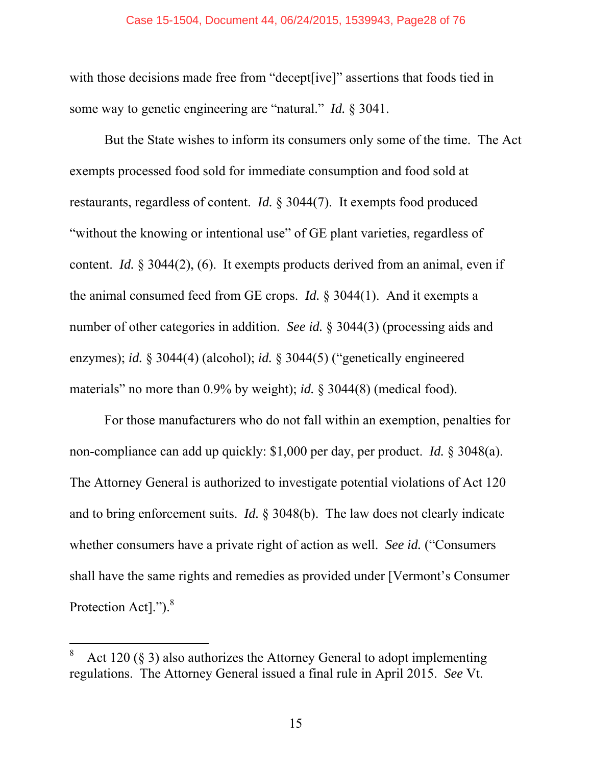#### Case 15-1504, Document 44, 06/24/2015, 1539943, Page28 of 76

with those decisions made free from "decept [ive]" assertions that foods tied in some way to genetic engineering are "natural." *Id.* § 3041.

But the State wishes to inform its consumers only some of the time. The Act exempts processed food sold for immediate consumption and food sold at restaurants, regardless of content. *Id.* § 3044(7). It exempts food produced "without the knowing or intentional use" of GE plant varieties, regardless of content. *Id.* § 3044(2), (6). It exempts products derived from an animal, even if the animal consumed feed from GE crops. *Id.* § 3044(1). And it exempts a number of other categories in addition. *See id.* § 3044(3) (processing aids and enzymes); *id.* § 3044(4) (alcohol); *id.* § 3044(5) ("genetically engineered materials" no more than 0.9% by weight); *id.* § 3044(8) (medical food).

For those manufacturers who do not fall within an exemption, penalties for non-compliance can add up quickly: \$1,000 per day, per product. *Id.* § 3048(a). The Attorney General is authorized to investigate potential violations of Act 120 and to bring enforcement suits. *Id.* § 3048(b). The law does not clearly indicate whether consumers have a private right of action as well. *See id.* ("Consumers shall have the same rights and remedies as provided under [Vermont's Consumer Protection Act].").<sup>8</sup>

-

<sup>8</sup> Act 120 (§ 3) also authorizes the Attorney General to adopt implementing regulations. The Attorney General issued a final rule in April 2015. *See* Vt.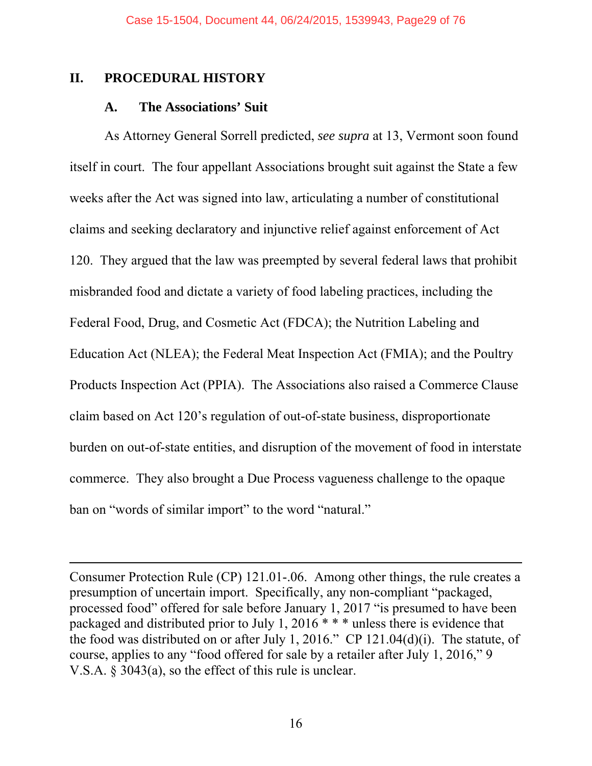#### **II. PROCEDURAL HISTORY**

 $\overline{a}$ 

#### **A. The Associations' Suit**

As Attorney General Sorrell predicted, *see supra* at 13, Vermont soon found itself in court. The four appellant Associations brought suit against the State a few weeks after the Act was signed into law, articulating a number of constitutional claims and seeking declaratory and injunctive relief against enforcement of Act 120. They argued that the law was preempted by several federal laws that prohibit misbranded food and dictate a variety of food labeling practices, including the Federal Food, Drug, and Cosmetic Act (FDCA); the Nutrition Labeling and Education Act (NLEA); the Federal Meat Inspection Act (FMIA); and the Poultry Products Inspection Act (PPIA). The Associations also raised a Commerce Clause claim based on Act 120's regulation of out-of-state business, disproportionate burden on out-of-state entities, and disruption of the movement of food in interstate commerce. They also brought a Due Process vagueness challenge to the opaque ban on "words of similar import" to the word "natural."

Consumer Protection Rule (CP) 121.01-.06. Among other things, the rule creates a presumption of uncertain import. Specifically, any non-compliant "packaged, processed food" offered for sale before January 1, 2017 "is presumed to have been packaged and distributed prior to July 1, 2016 \* \* \* unless there is evidence that the food was distributed on or after July 1, 2016." CP 121.04(d)(i). The statute, of course, applies to any "food offered for sale by a retailer after July 1, 2016," 9 V.S.A. § 3043(a), so the effect of this rule is unclear.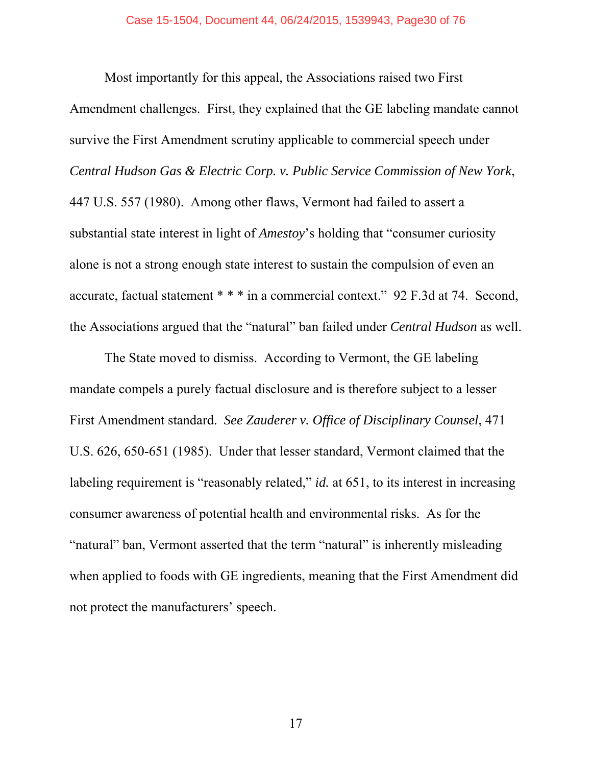Most importantly for this appeal, the Associations raised two First Amendment challenges. First, they explained that the GE labeling mandate cannot survive the First Amendment scrutiny applicable to commercial speech under *Central Hudson Gas & Electric Corp. v. Public Service Commission of New York*, 447 U.S. 557 (1980). Among other flaws, Vermont had failed to assert a substantial state interest in light of *Amestoy*'s holding that "consumer curiosity alone is not a strong enough state interest to sustain the compulsion of even an accurate, factual statement \* \* \* in a commercial context." 92 F.3d at 74. Second, the Associations argued that the "natural" ban failed under *Central Hudson* as well.

The State moved to dismiss. According to Vermont, the GE labeling mandate compels a purely factual disclosure and is therefore subject to a lesser First Amendment standard. *See Zauderer v. Office of Disciplinary Counsel*, 471 U.S. 626, 650-651 (1985). Under that lesser standard, Vermont claimed that the labeling requirement is "reasonably related," *id.* at 651, to its interest in increasing consumer awareness of potential health and environmental risks. As for the "natural" ban, Vermont asserted that the term "natural" is inherently misleading when applied to foods with GE ingredients, meaning that the First Amendment did not protect the manufacturers' speech.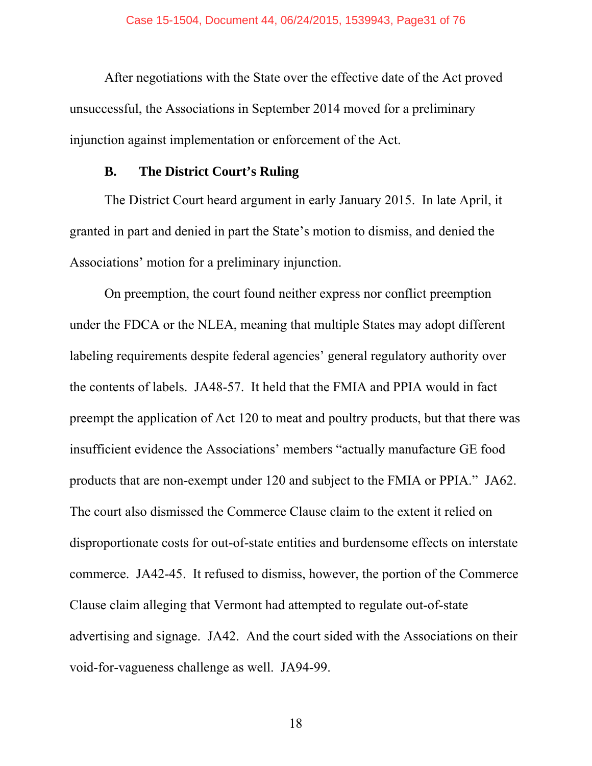After negotiations with the State over the effective date of the Act proved unsuccessful, the Associations in September 2014 moved for a preliminary injunction against implementation or enforcement of the Act.

#### **B. The District Court's Ruling**

The District Court heard argument in early January 2015. In late April, it granted in part and denied in part the State's motion to dismiss, and denied the Associations' motion for a preliminary injunction.

On preemption, the court found neither express nor conflict preemption under the FDCA or the NLEA, meaning that multiple States may adopt different labeling requirements despite federal agencies' general regulatory authority over the contents of labels. JA48-57. It held that the FMIA and PPIA would in fact preempt the application of Act 120 to meat and poultry products, but that there was insufficient evidence the Associations' members "actually manufacture GE food products that are non-exempt under 120 and subject to the FMIA or PPIA." JA62. The court also dismissed the Commerce Clause claim to the extent it relied on disproportionate costs for out-of-state entities and burdensome effects on interstate commerce. JA42-45. It refused to dismiss, however, the portion of the Commerce Clause claim alleging that Vermont had attempted to regulate out-of-state advertising and signage. JA42. And the court sided with the Associations on their void-for-vagueness challenge as well. JA94-99.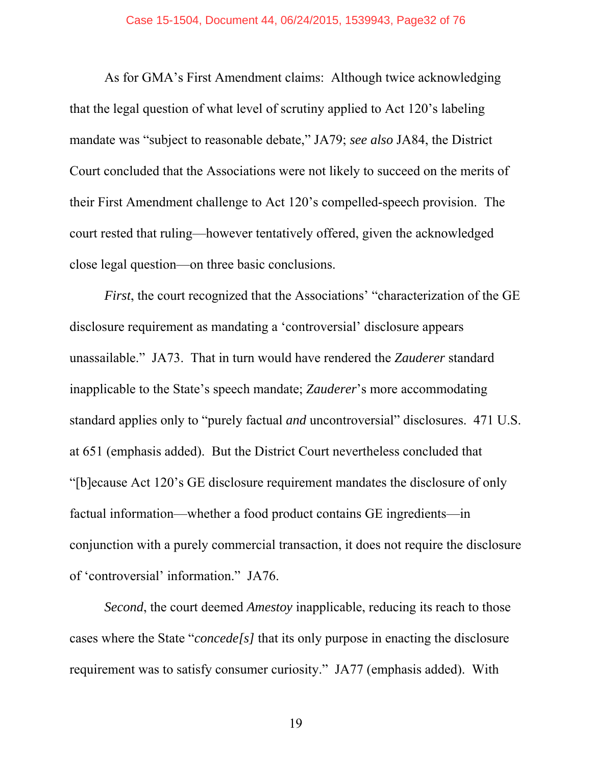As for GMA's First Amendment claims: Although twice acknowledging that the legal question of what level of scrutiny applied to Act 120's labeling mandate was "subject to reasonable debate," JA79; *see also* JA84, the District Court concluded that the Associations were not likely to succeed on the merits of their First Amendment challenge to Act 120's compelled-speech provision. The court rested that ruling—however tentatively offered, given the acknowledged close legal question—on three basic conclusions.

*First*, the court recognized that the Associations' "characterization of the GE disclosure requirement as mandating a 'controversial' disclosure appears unassailable." JA73. That in turn would have rendered the *Zauderer* standard inapplicable to the State's speech mandate; *Zauderer*'s more accommodating standard applies only to "purely factual *and* uncontroversial" disclosures. 471 U.S. at 651 (emphasis added).But the District Court nevertheless concluded that "[b]ecause Act 120's GE disclosure requirement mandates the disclosure of only factual information—whether a food product contains GE ingredients—in conjunction with a purely commercial transaction, it does not require the disclosure of 'controversial' information." JA76.

*Second*, the court deemed *Amestoy* inapplicable, reducing its reach to those cases where the State "*concede[s]* that its only purpose in enacting the disclosure requirement was to satisfy consumer curiosity." JA77 (emphasis added). With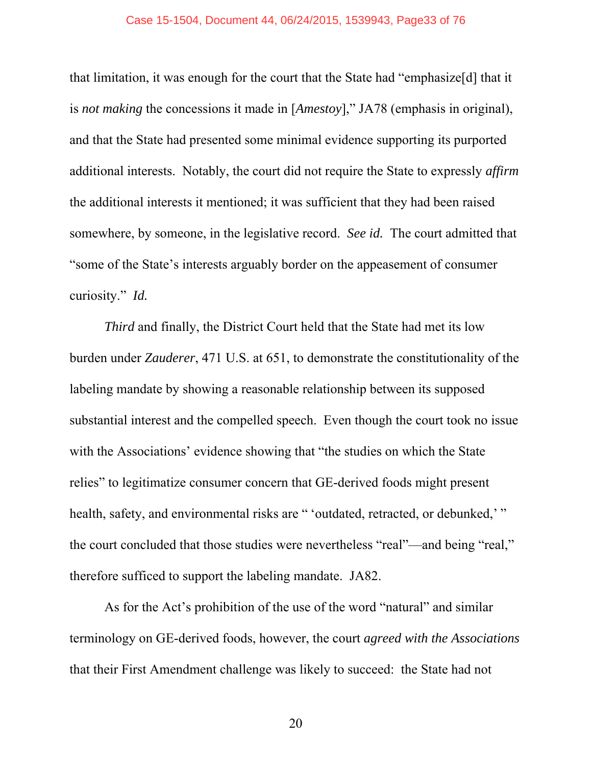#### Case 15-1504, Document 44, 06/24/2015, 1539943, Page33 of 76

that limitation, it was enough for the court that the State had "emphasize[d] that it is *not making* the concessions it made in [*Amestoy*]," JA78 (emphasis in original), and that the State had presented some minimal evidence supporting its purported additional interests. Notably, the court did not require the State to expressly *affirm* the additional interests it mentioned; it was sufficient that they had been raised somewhere, by someone, in the legislative record. *See id.* The court admitted that "some of the State's interests arguably border on the appeasement of consumer curiosity." *Id.*

*Third* and finally, the District Court held that the State had met its low burden under *Zauderer*, 471 U.S. at 651, to demonstrate the constitutionality of the labeling mandate by showing a reasonable relationship between its supposed substantial interest and the compelled speech. Even though the court took no issue with the Associations' evidence showing that "the studies on which the State relies" to legitimatize consumer concern that GE-derived foods might present health, safety, and environmental risks are " 'outdated, retracted, or debunked,' " the court concluded that those studies were nevertheless "real"—and being "real," therefore sufficed to support the labeling mandate. JA82.

As for the Act's prohibition of the use of the word "natural" and similar terminology on GE-derived foods, however, the court *agreed with the Associations* that their First Amendment challenge was likely to succeed: the State had not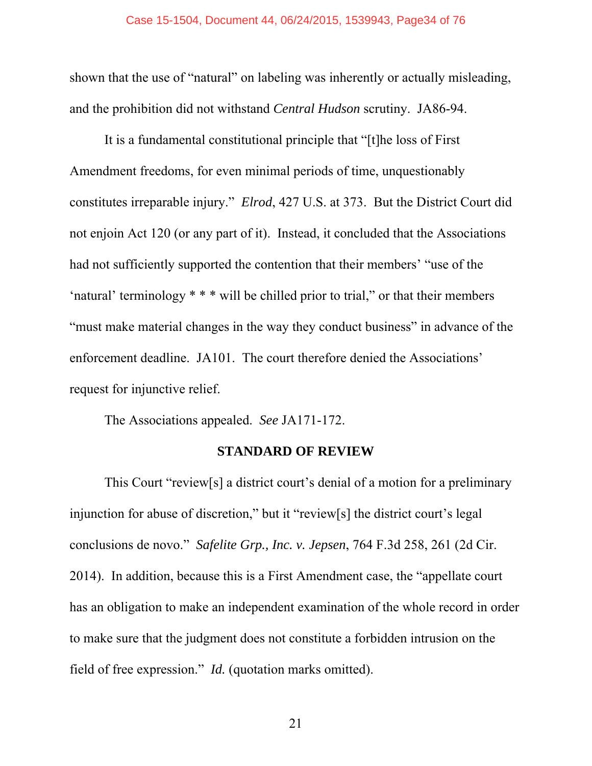shown that the use of "natural" on labeling was inherently or actually misleading, and the prohibition did not withstand *Central Hudson* scrutiny. JA86-94.

It is a fundamental constitutional principle that "[t]he loss of First Amendment freedoms, for even minimal periods of time, unquestionably constitutes irreparable injury." *Elrod*, 427 U.S. at 373. But the District Court did not enjoin Act 120 (or any part of it). Instead, it concluded that the Associations had not sufficiently supported the contention that their members' "use of the 'natural' terminology \* \* \* will be chilled prior to trial," or that their members "must make material changes in the way they conduct business" in advance of the enforcement deadline. JA101. The court therefore denied the Associations' request for injunctive relief.

The Associations appealed. *See* JA171-172.

#### **STANDARD OF REVIEW**

This Court "review[s] a district court's denial of a motion for a preliminary injunction for abuse of discretion," but it "review[s] the district court's legal conclusions de novo." *Safelite Grp., Inc. v. Jepsen*, 764 F.3d 258, 261 (2d Cir. 2014). In addition, because this is a First Amendment case, the "appellate court has an obligation to make an independent examination of the whole record in order to make sure that the judgment does not constitute a forbidden intrusion on the field of free expression." *Id.* (quotation marks omitted).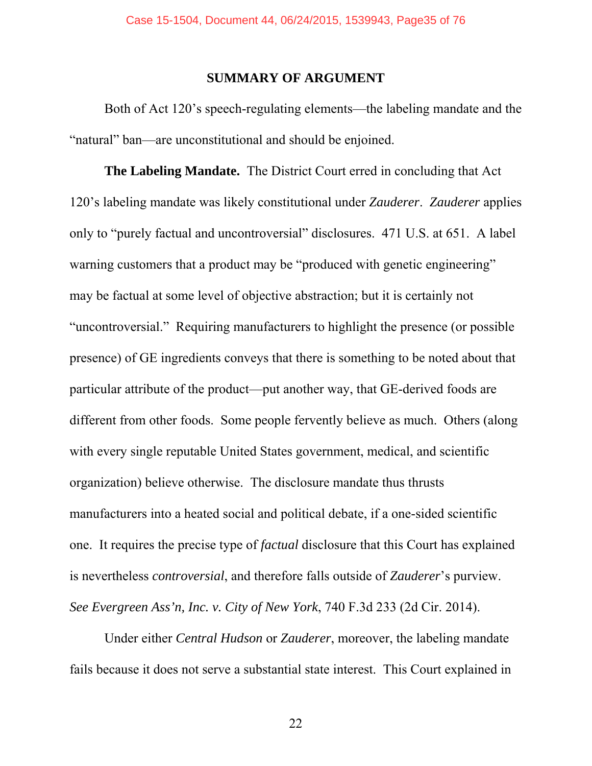#### **SUMMARY OF ARGUMENT**

Both of Act 120's speech-regulating elements—the labeling mandate and the "natural" ban—are unconstitutional and should be enjoined.

**The Labeling Mandate.** The District Court erred in concluding that Act 120's labeling mandate was likely constitutional under *Zauderer*. *Zauderer* applies only to "purely factual and uncontroversial" disclosures. 471 U.S. at 651. A label warning customers that a product may be "produced with genetic engineering" may be factual at some level of objective abstraction; but it is certainly not "uncontroversial." Requiring manufacturers to highlight the presence (or possible presence) of GE ingredients conveys that there is something to be noted about that particular attribute of the product—put another way, that GE-derived foods are different from other foods. Some people fervently believe as much. Others (along with every single reputable United States government, medical, and scientific organization) believe otherwise. The disclosure mandate thus thrusts manufacturers into a heated social and political debate, if a one-sided scientific one. It requires the precise type of *factual* disclosure that this Court has explained is nevertheless *controversial*, and therefore falls outside of *Zauderer*'s purview. *See Evergreen Ass'n, Inc. v. City of New York*, 740 F.3d 233 (2d Cir. 2014).

Under either *Central Hudson* or *Zauderer*, moreover, the labeling mandate fails because it does not serve a substantial state interest. This Court explained in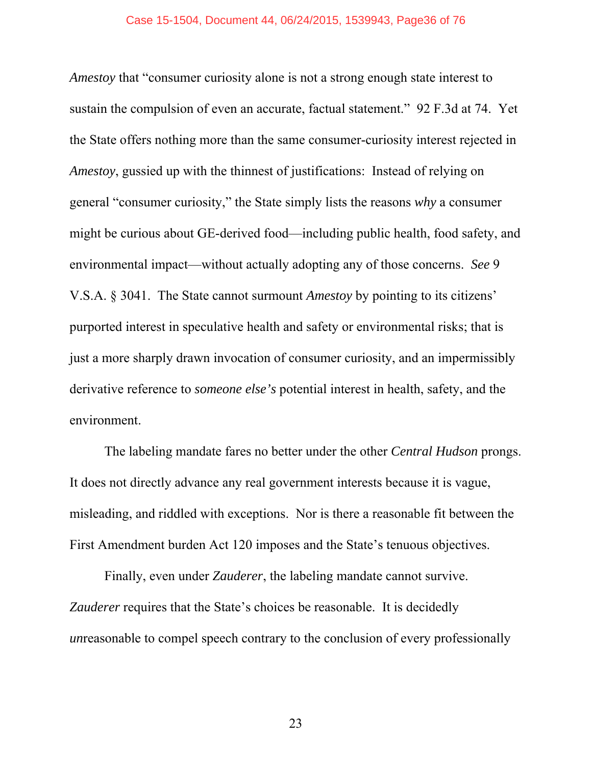*Amestoy* that "consumer curiosity alone is not a strong enough state interest to sustain the compulsion of even an accurate, factual statement." 92 F.3d at 74. Yet the State offers nothing more than the same consumer-curiosity interest rejected in *Amestoy*, gussied up with the thinnest of justifications: Instead of relying on general "consumer curiosity," the State simply lists the reasons *why* a consumer might be curious about GE-derived food—including public health, food safety, and environmental impact—without actually adopting any of those concerns. *See* 9 V.S.A. § 3041. The State cannot surmount *Amestoy* by pointing to its citizens' purported interest in speculative health and safety or environmental risks; that is just a more sharply drawn invocation of consumer curiosity, and an impermissibly derivative reference to *someone else's* potential interest in health, safety, and the environment.

The labeling mandate fares no better under the other *Central Hudson* prongs. It does not directly advance any real government interests because it is vague, misleading, and riddled with exceptions. Nor is there a reasonable fit between the First Amendment burden Act 120 imposes and the State's tenuous objectives.

Finally, even under *Zauderer*, the labeling mandate cannot survive. *Zauderer* requires that the State's choices be reasonable. It is decidedly *un*reasonable to compel speech contrary to the conclusion of every professionally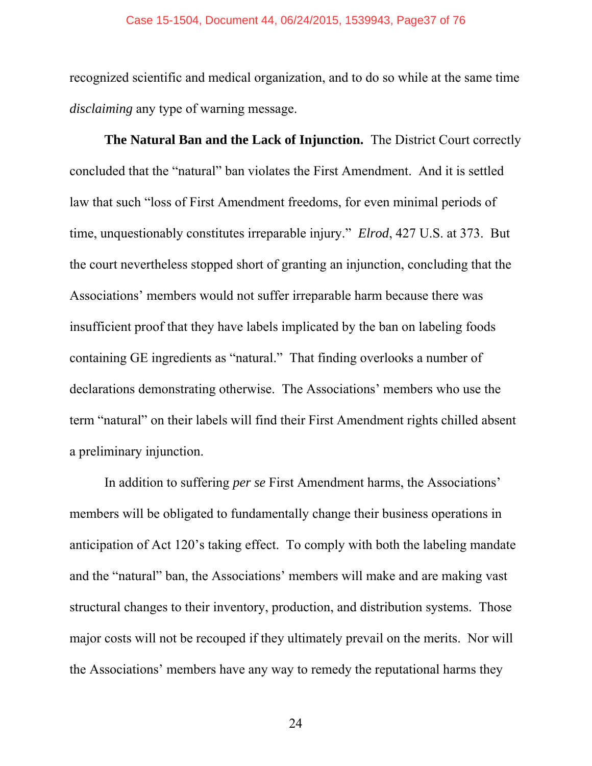recognized scientific and medical organization, and to do so while at the same time *disclaiming* any type of warning message.

**The Natural Ban and the Lack of Injunction.** The District Court correctly concluded that the "natural" ban violates the First Amendment. And it is settled law that such "loss of First Amendment freedoms, for even minimal periods of time, unquestionably constitutes irreparable injury." *Elrod*, 427 U.S. at 373. But the court nevertheless stopped short of granting an injunction, concluding that the Associations' members would not suffer irreparable harm because there was insufficient proof that they have labels implicated by the ban on labeling foods containing GE ingredients as "natural." That finding overlooks a number of declarations demonstrating otherwise. The Associations' members who use the term "natural" on their labels will find their First Amendment rights chilled absent a preliminary injunction.

In addition to suffering *per se* First Amendment harms, the Associations' members will be obligated to fundamentally change their business operations in anticipation of Act 120's taking effect. To comply with both the labeling mandate and the "natural" ban, the Associations' members will make and are making vast structural changes to their inventory, production, and distribution systems. Those major costs will not be recouped if they ultimately prevail on the merits. Nor will the Associations' members have any way to remedy the reputational harms they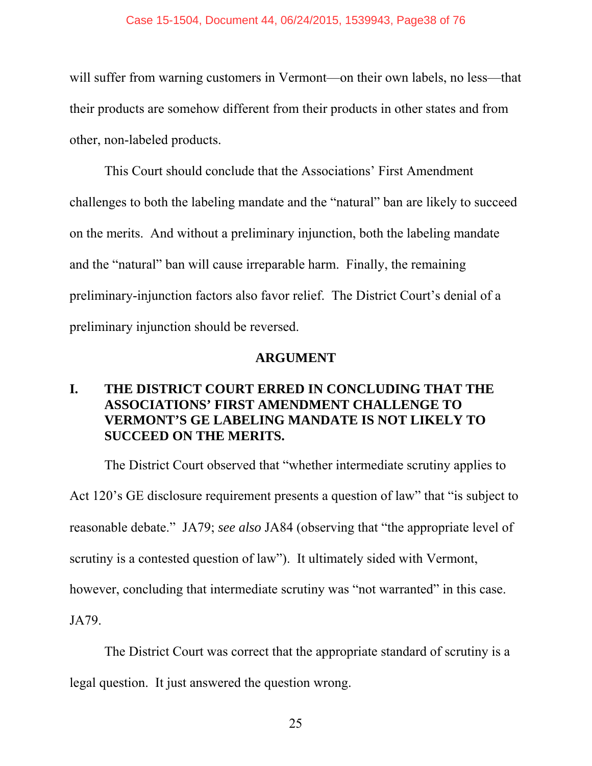will suffer from warning customers in Vermont—on their own labels, no less—that their products are somehow different from their products in other states and from other, non-labeled products.

This Court should conclude that the Associations' First Amendment challenges to both the labeling mandate and the "natural" ban are likely to succeed on the merits. And without a preliminary injunction, both the labeling mandate and the "natural" ban will cause irreparable harm. Finally, the remaining preliminary-injunction factors also favor relief. The District Court's denial of a preliminary injunction should be reversed.

# **ARGUMENT**

# **I. THE DISTRICT COURT ERRED IN CONCLUDING THAT THE ASSOCIATIONS' FIRST AMENDMENT CHALLENGE TO VERMONT'S GE LABELING MANDATE IS NOT LIKELY TO SUCCEED ON THE MERITS.**

The District Court observed that "whether intermediate scrutiny applies to Act 120's GE disclosure requirement presents a question of law" that "is subject to reasonable debate." JA79; *see also* JA84 (observing that "the appropriate level of scrutiny is a contested question of law"). It ultimately sided with Vermont, however, concluding that intermediate scrutiny was "not warranted" in this case. JA79.

The District Court was correct that the appropriate standard of scrutiny is a legal question. It just answered the question wrong.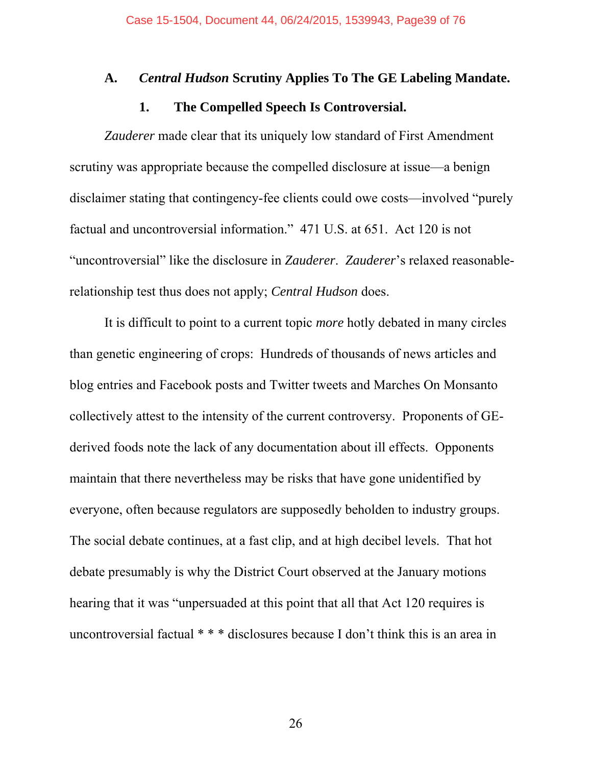### **A.** *Central Hudson* **Scrutiny Applies To The GE Labeling Mandate.**

### **1. The Compelled Speech Is Controversial.**

*Zauderer* made clear that its uniquely low standard of First Amendment scrutiny was appropriate because the compelled disclosure at issue—a benign disclaimer stating that contingency-fee clients could owe costs—involved "purely factual and uncontroversial information." 471 U.S. at 651. Act 120 is not "uncontroversial" like the disclosure in *Zauderer*. *Zauderer*'s relaxed reasonablerelationship test thus does not apply; *Central Hudson* does.

It is difficult to point to a current topic *more* hotly debated in many circles than genetic engineering of crops: Hundreds of thousands of news articles and blog entries and Facebook posts and Twitter tweets and Marches On Monsanto collectively attest to the intensity of the current controversy. Proponents of GEderived foods note the lack of any documentation about ill effects. Opponents maintain that there nevertheless may be risks that have gone unidentified by everyone, often because regulators are supposedly beholden to industry groups. The social debate continues, at a fast clip, and at high decibel levels. That hot debate presumably is why the District Court observed at the January motions hearing that it was "unpersuaded at this point that all that Act 120 requires is uncontroversial factual \* \* \* disclosures because I don't think this is an area in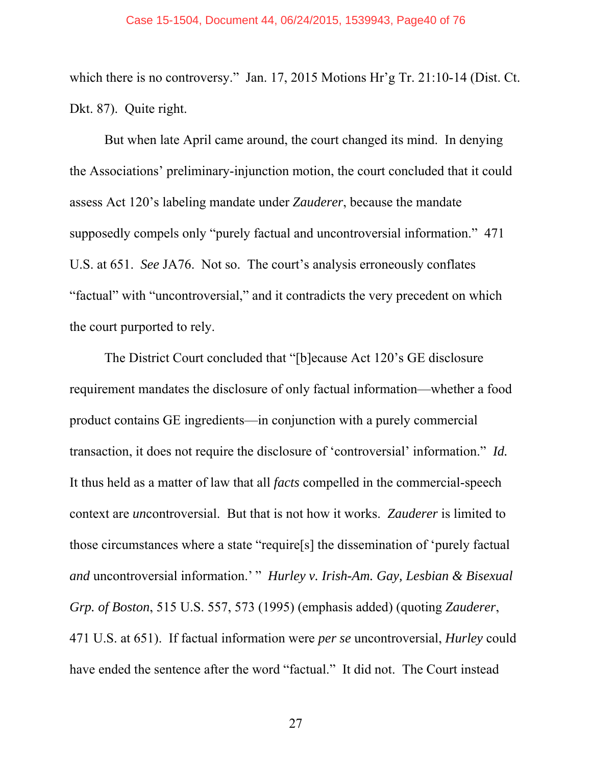which there is no controversy." Jan. 17, 2015 Motions Hr'g Tr. 21:10-14 (Dist. Ct. Dkt. 87). Quite right.

But when late April came around, the court changed its mind. In denying the Associations' preliminary-injunction motion, the court concluded that it could assess Act 120's labeling mandate under *Zauderer*, because the mandate supposedly compels only "purely factual and uncontroversial information." 471 U.S. at 651. *See* JA76. Not so. The court's analysis erroneously conflates "factual" with "uncontroversial," and it contradicts the very precedent on which the court purported to rely.

The District Court concluded that "[b]ecause Act 120's GE disclosure requirement mandates the disclosure of only factual information—whether a food product contains GE ingredients—in conjunction with a purely commercial transaction, it does not require the disclosure of 'controversial' information." *Id.* It thus held as a matter of law that all *facts* compelled in the commercial-speech context are *un*controversial. But that is not how it works. *Zauderer* is limited to those circumstances where a state "require[s] the dissemination of 'purely factual *and* uncontroversial information.' " *Hurley v. Irish-Am. Gay, Lesbian & Bisexual Grp. of Boston*, 515 U.S. 557, 573 (1995) (emphasis added) (quoting *Zauderer*, 471 U.S. at 651). If factual information were *per se* uncontroversial, *Hurley* could have ended the sentence after the word "factual." It did not. The Court instead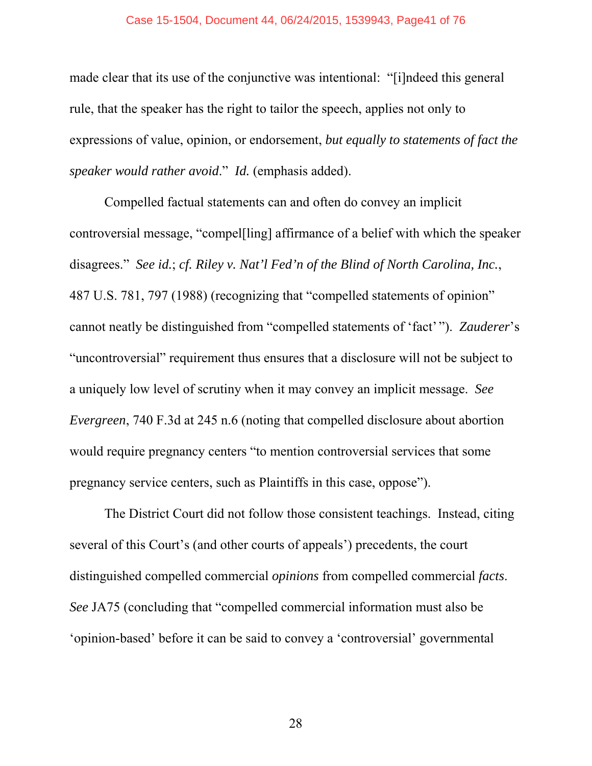made clear that its use of the conjunctive was intentional: "[i]ndeed this general rule, that the speaker has the right to tailor the speech, applies not only to expressions of value, opinion, or endorsement, *but equally to statements of fact the speaker would rather avoid*." *Id.* (emphasis added).

Compelled factual statements can and often do convey an implicit controversial message, "compel[ling] affirmance of a belief with which the speaker disagrees." *See id.*; *cf. Riley v. Nat'l Fed'n of the Blind of North Carolina, Inc.*, 487 U.S. 781, 797 (1988) (recognizing that "compelled statements of opinion" cannot neatly be distinguished from "compelled statements of 'fact' "). *Zauderer*'s "uncontroversial" requirement thus ensures that a disclosure will not be subject to a uniquely low level of scrutiny when it may convey an implicit message. *See Evergreen*, 740 F.3d at 245 n.6 (noting that compelled disclosure about abortion would require pregnancy centers "to mention controversial services that some pregnancy service centers, such as Plaintiffs in this case, oppose").

The District Court did not follow those consistent teachings. Instead, citing several of this Court's (and other courts of appeals') precedents, the court distinguished compelled commercial *opinions* from compelled commercial *facts*. *See* JA75 (concluding that "compelled commercial information must also be 'opinion-based' before it can be said to convey a 'controversial' governmental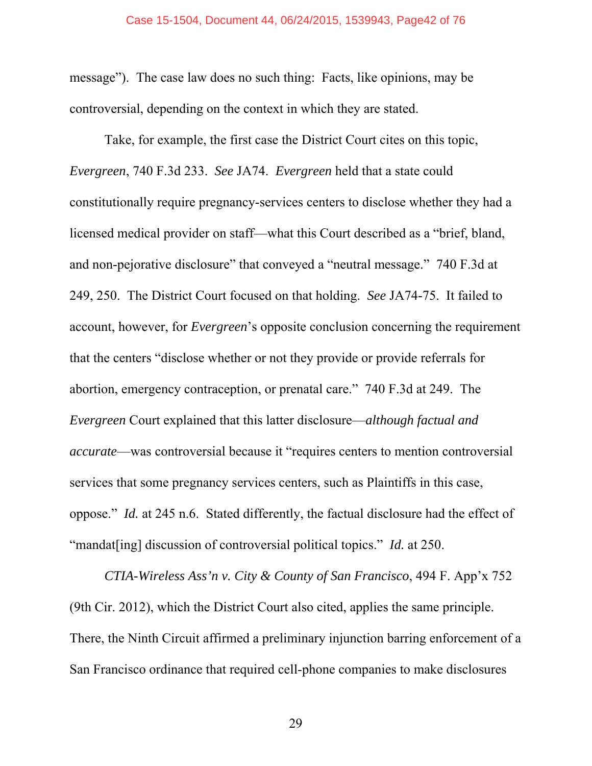message"). The case law does no such thing: Facts, like opinions, may be controversial, depending on the context in which they are stated.

Take, for example, the first case the District Court cites on this topic, *Evergreen*, 740 F.3d 233. *See* JA74. *Evergreen* held that a state could constitutionally require pregnancy-services centers to disclose whether they had a licensed medical provider on staff—what this Court described as a "brief, bland, and non-pejorative disclosure" that conveyed a "neutral message." 740 F.3d at 249, 250. The District Court focused on that holding. *See* JA74-75. It failed to account, however, for *Evergreen*'s opposite conclusion concerning the requirement that the centers "disclose whether or not they provide or provide referrals for abortion, emergency contraception, or prenatal care." 740 F.3d at 249. The *Evergreen* Court explained that this latter disclosure—*although factual and accurate*—was controversial because it "requires centers to mention controversial services that some pregnancy services centers, such as Plaintiffs in this case, oppose." *Id.* at 245 n.6. Stated differently, the factual disclosure had the effect of "mandat[ing] discussion of controversial political topics." *Id.* at 250.

*CTIA-Wireless Ass'n v. City & County of San Francisco*, 494 F. App'x 752 (9th Cir. 2012), which the District Court also cited, applies the same principle. There, the Ninth Circuit affirmed a preliminary injunction barring enforcement of a San Francisco ordinance that required cell-phone companies to make disclosures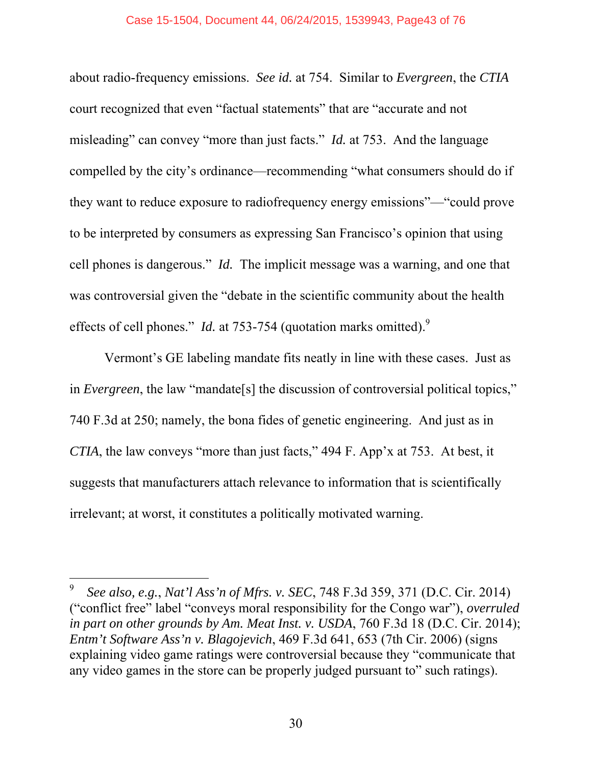#### Case 15-1504, Document 44, 06/24/2015, 1539943, Page43 of 76

about radio-frequency emissions. *See id.* at 754. Similar to *Evergreen*, the *CTIA* court recognized that even "factual statements" that are "accurate and not misleading" can convey "more than just facts." *Id.* at 753. And the language compelled by the city's ordinance—recommending "what consumers should do if they want to reduce exposure to radiofrequency energy emissions"—"could prove to be interpreted by consumers as expressing San Francisco's opinion that using cell phones is dangerous." *Id.* The implicit message was a warning, and one that was controversial given the "debate in the scientific community about the health effects of cell phones." *Id.* at 753-754 (quotation marks omitted).<sup>9</sup>

Vermont's GE labeling mandate fits neatly in line with these cases. Just as in *Evergreen*, the law "mandate[s] the discussion of controversial political topics," 740 F.3d at 250; namely, the bona fides of genetic engineering. And just as in *CTIA*, the law conveys "more than just facts," 494 F. App'x at 753. At best, it suggests that manufacturers attach relevance to information that is scientifically irrelevant; at worst, it constitutes a politically motivated warning.

 $\overline{a}$ 

<sup>9</sup> *See also, e.g.*, *Nat'l Ass'n of Mfrs. v. SEC*, 748 F.3d 359, 371 (D.C. Cir. 2014) ("conflict free" label "conveys moral responsibility for the Congo war"), *overruled in part on other grounds by Am. Meat Inst. v. USDA*, 760 F.3d 18 (D.C. Cir. 2014); *Entm't Software Ass'n v. Blagojevich*, 469 F.3d 641, 653 (7th Cir. 2006) (signs explaining video game ratings were controversial because they "communicate that any video games in the store can be properly judged pursuant to" such ratings).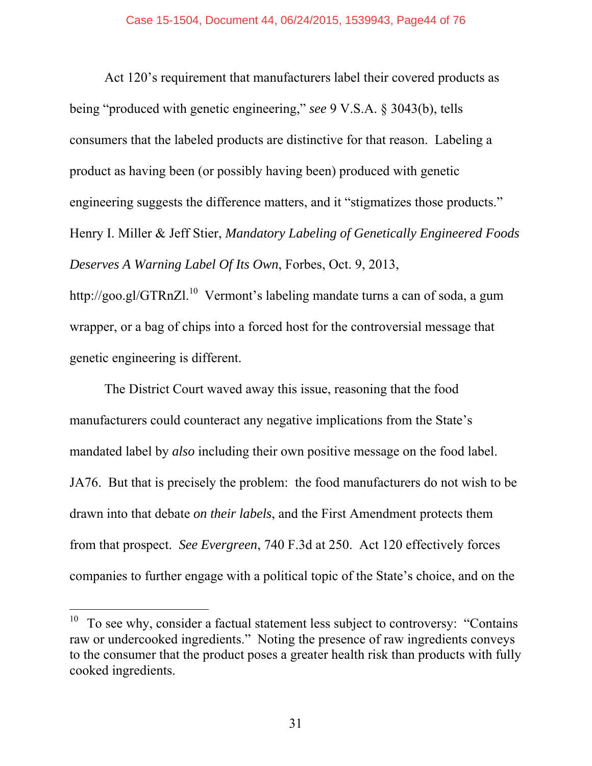Act 120's requirement that manufacturers label their covered products as being "produced with genetic engineering," *see* 9 V.S.A. § 3043(b), tells consumers that the labeled products are distinctive for that reason. Labeling a product as having been (or possibly having been) produced with genetic engineering suggests the difference matters, and it "stigmatizes those products." Henry I. Miller & Jeff Stier, *Mandatory Labeling of Genetically Engineered Foods Deserves A Warning Label Of Its Own*, Forbes, Oct. 9, 2013,

http://goo.gl/GTRnZl.<sup>10</sup> Vermont's labeling mandate turns a can of soda, a gum wrapper, or a bag of chips into a forced host for the controversial message that genetic engineering is different.

The District Court waved away this issue, reasoning that the food manufacturers could counteract any negative implications from the State's mandated label by *also* including their own positive message on the food label. JA76. But that is precisely the problem: the food manufacturers do not wish to be drawn into that debate *on their labels*, and the First Amendment protects them from that prospect. *See Evergreen*, 740 F.3d at 250. Act 120 effectively forces companies to further engage with a political topic of the State's choice, and on the

 $\overline{a}$ 

 $10$  To see why, consider a factual statement less subject to controversy: "Contains" raw or undercooked ingredients." Noting the presence of raw ingredients conveys to the consumer that the product poses a greater health risk than products with fully cooked ingredients.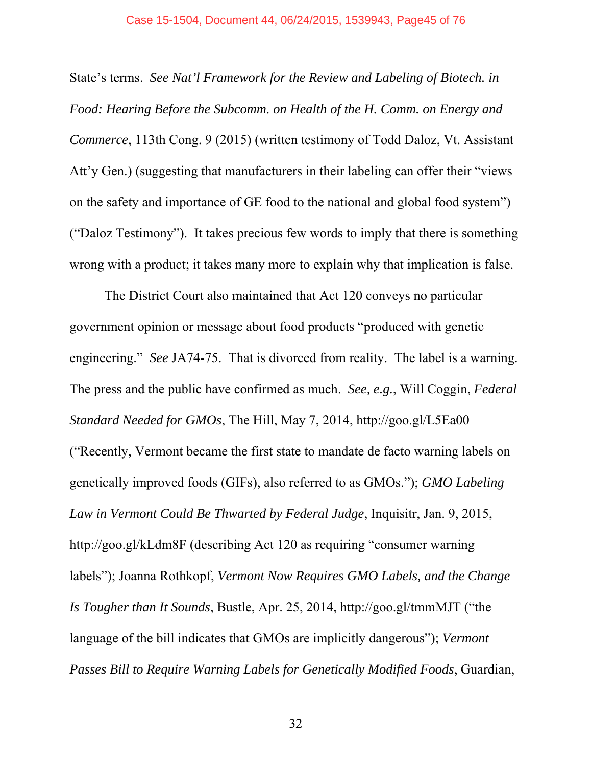State's terms. *See Nat'l Framework for the Review and Labeling of Biotech. in Food: Hearing Before the Subcomm. on Health of the H. Comm. on Energy and Commerce*, 113th Cong. 9 (2015) (written testimony of Todd Daloz, Vt. Assistant Att'y Gen.) (suggesting that manufacturers in their labeling can offer their "views on the safety and importance of GE food to the national and global food system") ("Daloz Testimony"). It takes precious few words to imply that there is something wrong with a product; it takes many more to explain why that implication is false.

The District Court also maintained that Act 120 conveys no particular government opinion or message about food products "produced with genetic engineering." *See* JA74-75. That is divorced from reality. The label is a warning. The press and the public have confirmed as much. *See, e.g.*, Will Coggin, *Federal Standard Needed for GMOs*, The Hill, May 7, 2014, http://goo.gl/L5Ea00 ("Recently, Vermont became the first state to mandate de facto warning labels on genetically improved foods (GIFs), also referred to as GMOs."); *GMO Labeling Law in Vermont Could Be Thwarted by Federal Judge*, Inquisitr, Jan. 9, 2015, http://goo.gl/kLdm8F (describing Act 120 as requiring "consumer warning labels"); Joanna Rothkopf, *Vermont Now Requires GMO Labels, and the Change Is Tougher than It Sounds*, Bustle, Apr. 25, 2014, http://goo.gl/tmmMJT ("the language of the bill indicates that GMOs are implicitly dangerous"); *Vermont Passes Bill to Require Warning Labels for Genetically Modified Foods*, Guardian,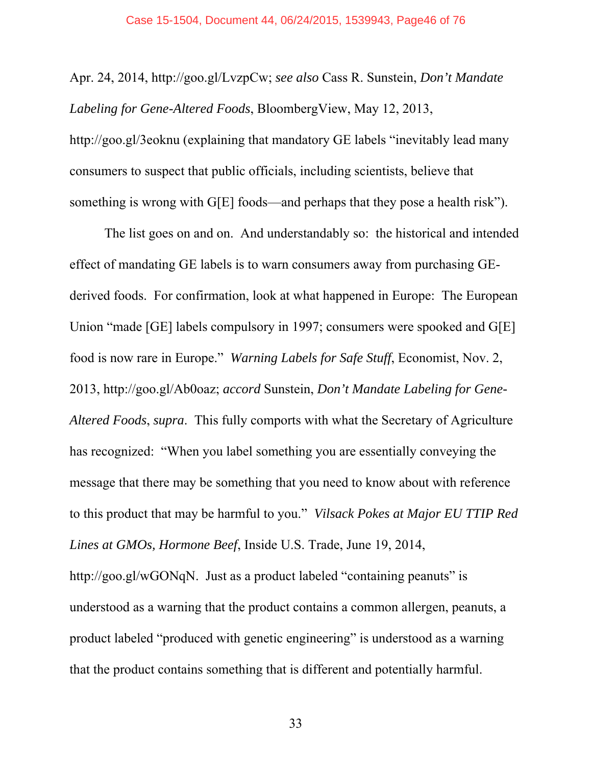Apr. 24, 2014, http://goo.gl/LvzpCw; *see also* Cass R. Sunstein, *Don't Mandate Labeling for Gene-Altered Foods*, BloombergView, May 12, 2013, http://goo.gl/3eoknu (explaining that mandatory GE labels "inevitably lead many consumers to suspect that public officials, including scientists, believe that something is wrong with G[E] foods—and perhaps that they pose a health risk").

The list goes on and on. And understandably so: the historical and intended effect of mandating GE labels is to warn consumers away from purchasing GEderived foods. For confirmation, look at what happened in Europe: The European Union "made [GE] labels compulsory in 1997; consumers were spooked and G[E] food is now rare in Europe." *Warning Labels for Safe Stuff*, Economist, Nov. 2, 2013, http://goo.gl/Ab0oaz; *accord* Sunstein, *Don't Mandate Labeling for Gene-Altered Foods*, *supra*. This fully comports with what the Secretary of Agriculture has recognized: "When you label something you are essentially conveying the message that there may be something that you need to know about with reference to this product that may be harmful to you." *Vilsack Pokes at Major EU TTIP Red Lines at GMOs, Hormone Beef*, Inside U.S. Trade, June 19, 2014, http://goo.gl/wGONqN. Just as a product labeled "containing peanuts" is understood as a warning that the product contains a common allergen, peanuts, a product labeled "produced with genetic engineering" is understood as a warning

that the product contains something that is different and potentially harmful.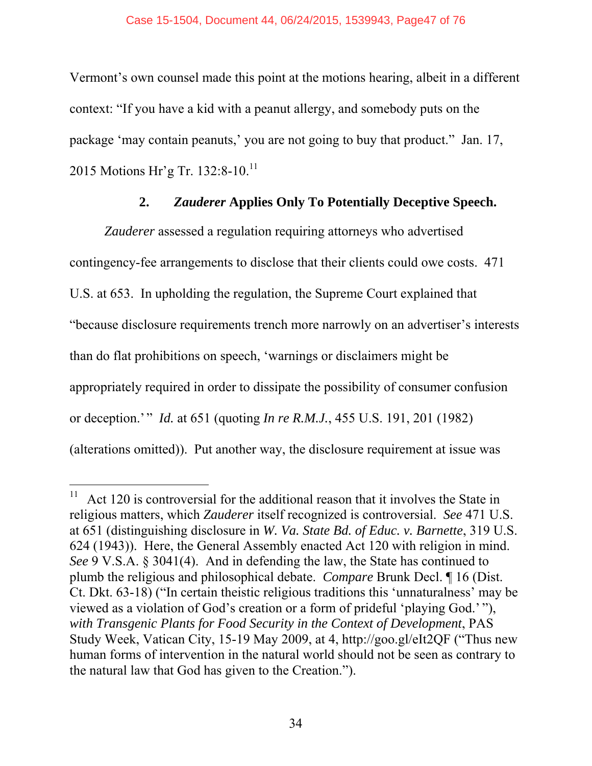Vermont's own counsel made this point at the motions hearing, albeit in a different context: "If you have a kid with a peanut allergy, and somebody puts on the package 'may contain peanuts,' you are not going to buy that product." Jan. 17, 2015 Motions Hr'g Tr. 132:8-10.<sup>11</sup>

# **2.** *Zauderer* **Applies Only To Potentially Deceptive Speech.**

*Zauderer* assessed a regulation requiring attorneys who advertised contingency-fee arrangements to disclose that their clients could owe costs. 471 U.S. at 653. In upholding the regulation, the Supreme Court explained that "because disclosure requirements trench more narrowly on an advertiser's interests than do flat prohibitions on speech, 'warnings or disclaimers might be appropriately required in order to dissipate the possibility of consumer confusion or deception.'" *Id.* at 651 (quoting *In re R.M.J.*, 455 U.S. 191, 201 (1982) (alterations omitted)). Put another way, the disclosure requirement at issue was

-

 $11$  Act 120 is controversial for the additional reason that it involves the State in religious matters, which *Zauderer* itself recognized is controversial. *See* 471 U.S. at 651 (distinguishing disclosure in *W. Va. State Bd. of Educ. v. Barnette*, 319 U.S. 624 (1943)). Here, the General Assembly enacted Act 120 with religion in mind. *See* 9 V.S.A. § 3041(4). And in defending the law, the State has continued to plumb the religious and philosophical debate. *Compare* Brunk Decl. ¶ 16 (Dist. Ct. Dkt. 63-18) ("In certain theistic religious traditions this 'unnaturalness' may be viewed as a violation of God's creation or a form of prideful 'playing God.' "), *with Transgenic Plants for Food Security in the Context of Development*, PAS Study Week, Vatican City, 15-19 May 2009, at 4, http://goo.gl/eIt2QF ("Thus new human forms of intervention in the natural world should not be seen as contrary to the natural law that God has given to the Creation.").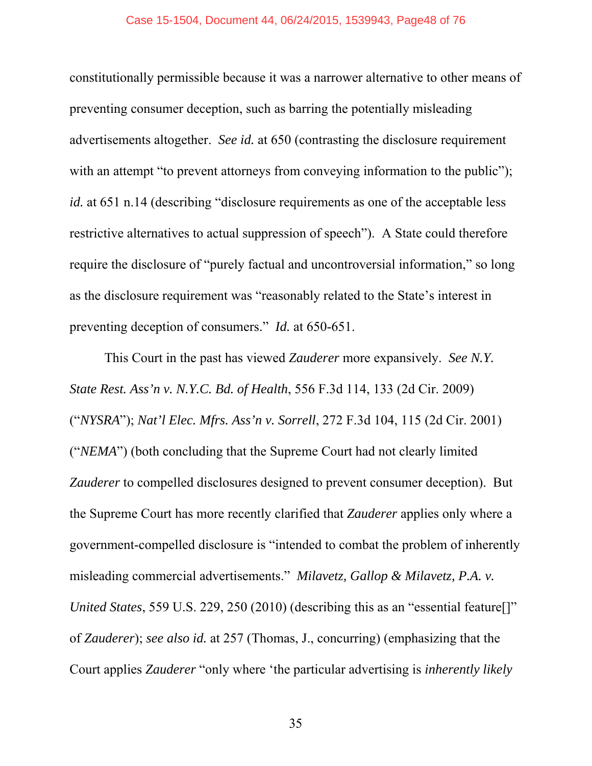constitutionally permissible because it was a narrower alternative to other means of preventing consumer deception, such as barring the potentially misleading advertisements altogether. *See id.* at 650 (contrasting the disclosure requirement with an attempt "to prevent attorneys from conveying information to the public"); *id.* at 651 n.14 (describing "disclosure requirements as one of the acceptable less restrictive alternatives to actual suppression of speech"). A State could therefore require the disclosure of "purely factual and uncontroversial information," so long as the disclosure requirement was "reasonably related to the State's interest in preventing deception of consumers." *Id.* at 650-651.

This Court in the past has viewed *Zauderer* more expansively. *See N.Y. State Rest. Ass'n v. N.Y.C. Bd. of Health*, 556 F.3d 114, 133 (2d Cir. 2009) ("*NYSRA*"); *Nat'l Elec. Mfrs. Ass'n v. Sorrell*, 272 F.3d 104, 115 (2d Cir. 2001) ("*NEMA*") (both concluding that the Supreme Court had not clearly limited *Zauderer* to compelled disclosures designed to prevent consumer deception). But the Supreme Court has more recently clarified that *Zauderer* applies only where a government-compelled disclosure is "intended to combat the problem of inherently misleading commercial advertisements." *Milavetz, Gallop & Milavetz, P.A. v. United States*, 559 U.S. 229, 250 (2010) (describing this as an "essential feature<sup>[]"</sup> of *Zauderer*); *see also id.* at 257 (Thomas, J., concurring) (emphasizing that the Court applies *Zauderer* "only where 'the particular advertising is *inherently likely*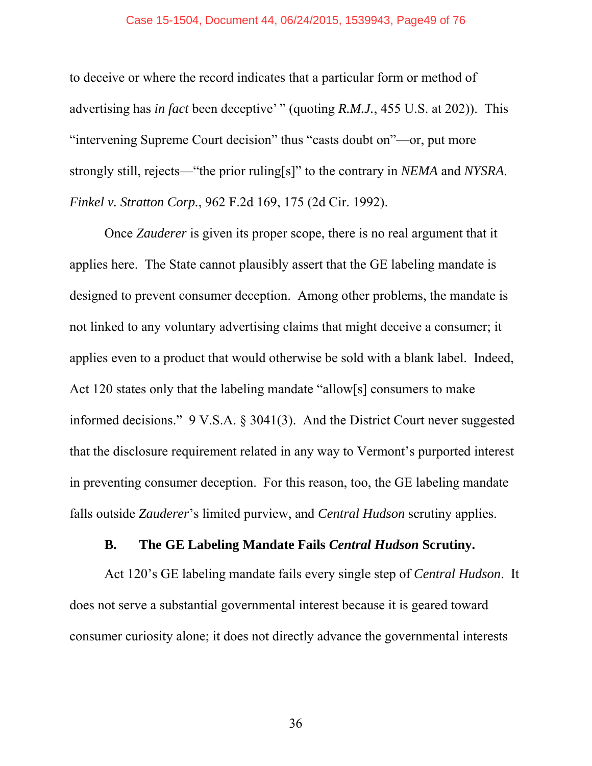#### Case 15-1504, Document 44, 06/24/2015, 1539943, Page49 of 76

to deceive or where the record indicates that a particular form or method of advertising has *in fact* been deceptive' " (quoting *R.M.J.*, 455 U.S. at 202)). This "intervening Supreme Court decision" thus "casts doubt on"—or, put more strongly still, rejects—"the prior ruling[s]" to the contrary in *NEMA* and *NYSRA*. *Finkel v. Stratton Corp.*, 962 F.2d 169, 175 (2d Cir. 1992).

Once *Zauderer* is given its proper scope, there is no real argument that it applies here. The State cannot plausibly assert that the GE labeling mandate is designed to prevent consumer deception. Among other problems, the mandate is not linked to any voluntary advertising claims that might deceive a consumer; it applies even to a product that would otherwise be sold with a blank label. Indeed, Act 120 states only that the labeling mandate "allow[s] consumers to make informed decisions." 9 V.S.A. § 3041(3). And the District Court never suggested that the disclosure requirement related in any way to Vermont's purported interest in preventing consumer deception. For this reason, too, the GE labeling mandate falls outside *Zauderer*'s limited purview, and *Central Hudson* scrutiny applies.

### **B. The GE Labeling Mandate Fails** *Central Hudson* **Scrutiny.**

Act 120's GE labeling mandate fails every single step of *Central Hudson*. It does not serve a substantial governmental interest because it is geared toward consumer curiosity alone; it does not directly advance the governmental interests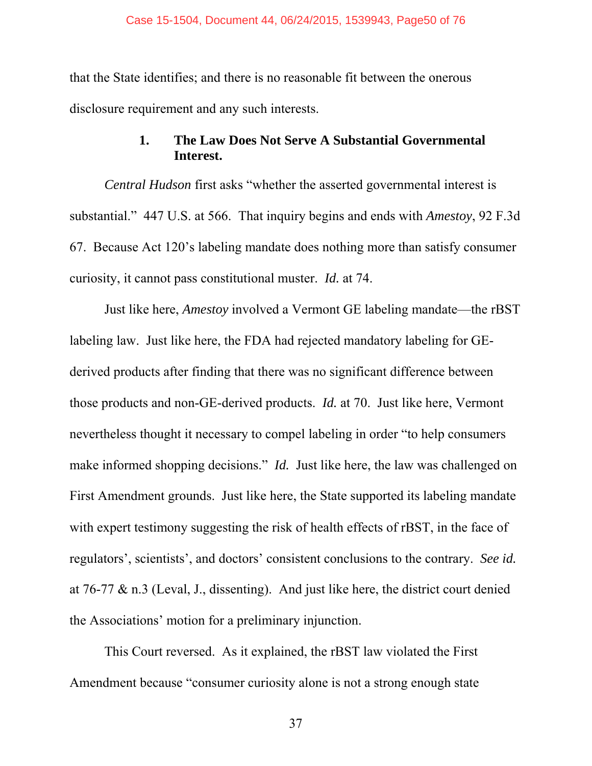that the State identifies; and there is no reasonable fit between the onerous disclosure requirement and any such interests.

## **1. The Law Does Not Serve A Substantial Governmental Interest.**

*Central Hudson* first asks "whether the asserted governmental interest is substantial." 447 U.S. at 566. That inquiry begins and ends with *Amestoy*, 92 F.3d 67. Because Act 120's labeling mandate does nothing more than satisfy consumer curiosity, it cannot pass constitutional muster. *Id.* at 74.

Just like here, *Amestoy* involved a Vermont GE labeling mandate—the rBST labeling law. Just like here, the FDA had rejected mandatory labeling for GEderived products after finding that there was no significant difference between those products and non-GE-derived products. *Id.* at 70. Just like here, Vermont nevertheless thought it necessary to compel labeling in order "to help consumers make informed shopping decisions." *Id.* Just like here, the law was challenged on First Amendment grounds. Just like here, the State supported its labeling mandate with expert testimony suggesting the risk of health effects of rBST, in the face of regulators', scientists', and doctors' consistent conclusions to the contrary. *See id.* at 76-77 & n.3 (Leval, J., dissenting). And just like here, the district court denied the Associations' motion for a preliminary injunction.

This Court reversed. As it explained, the rBST law violated the First Amendment because "consumer curiosity alone is not a strong enough state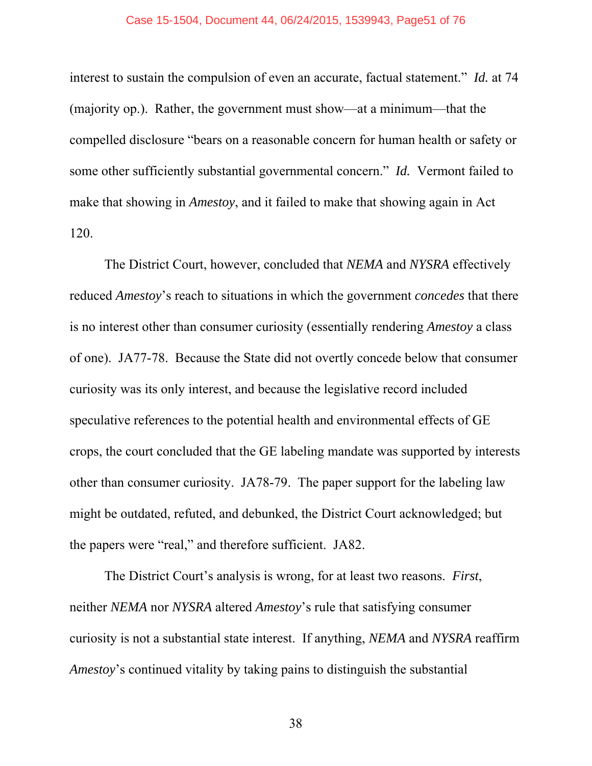#### Case 15-1504, Document 44, 06/24/2015, 1539943, Page51 of 76

interest to sustain the compulsion of even an accurate, factual statement." *Id.* at 74 (majority op.). Rather, the government must show—at a minimum—that the compelled disclosure "bears on a reasonable concern for human health or safety or some other sufficiently substantial governmental concern." *Id.* Vermont failed to make that showing in *Amestoy*, and it failed to make that showing again in Act 120.

The District Court, however, concluded that *NEMA* and *NYSRA* effectively reduced *Amestoy*'s reach to situations in which the government *concedes* that there is no interest other than consumer curiosity (essentially rendering *Amestoy* a class of one). JA77-78. Because the State did not overtly concede below that consumer curiosity was its only interest, and because the legislative record included speculative references to the potential health and environmental effects of GE crops, the court concluded that the GE labeling mandate was supported by interests other than consumer curiosity. JA78-79. The paper support for the labeling law might be outdated, refuted, and debunked, the District Court acknowledged; but the papers were "real," and therefore sufficient. JA82.

The District Court's analysis is wrong, for at least two reasons. *First*, neither *NEMA* nor *NYSRA* altered *Amestoy*'s rule that satisfying consumer curiosity is not a substantial state interest. If anything, *NEMA* and *NYSRA* reaffirm *Amestoy*'s continued vitality by taking pains to distinguish the substantial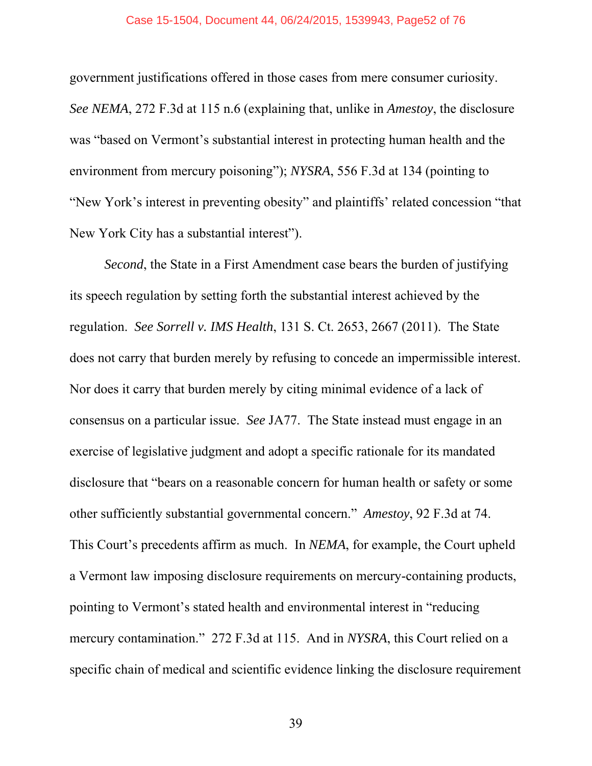#### Case 15-1504, Document 44, 06/24/2015, 1539943, Page52 of 76

government justifications offered in those cases from mere consumer curiosity. *See NEMA*, 272 F.3d at 115 n.6 (explaining that, unlike in *Amestoy*, the disclosure was "based on Vermont's substantial interest in protecting human health and the environment from mercury poisoning"); *NYSRA*, 556 F.3d at 134 (pointing to "New York's interest in preventing obesity" and plaintiffs' related concession "that New York City has a substantial interest").

*Second*, the State in a First Amendment case bears the burden of justifying its speech regulation by setting forth the substantial interest achieved by the regulation. *See Sorrell v. IMS Health*, 131 S. Ct. 2653, 2667 (2011). The State does not carry that burden merely by refusing to concede an impermissible interest. Nor does it carry that burden merely by citing minimal evidence of a lack of consensus on a particular issue. *See* JA77. The State instead must engage in an exercise of legislative judgment and adopt a specific rationale for its mandated disclosure that "bears on a reasonable concern for human health or safety or some other sufficiently substantial governmental concern." *Amestoy*, 92 F.3d at 74. This Court's precedents affirm as much. In *NEMA*, for example, the Court upheld a Vermont law imposing disclosure requirements on mercury-containing products, pointing to Vermont's stated health and environmental interest in "reducing mercury contamination." 272 F.3d at 115. And in *NYSRA*, this Court relied on a specific chain of medical and scientific evidence linking the disclosure requirement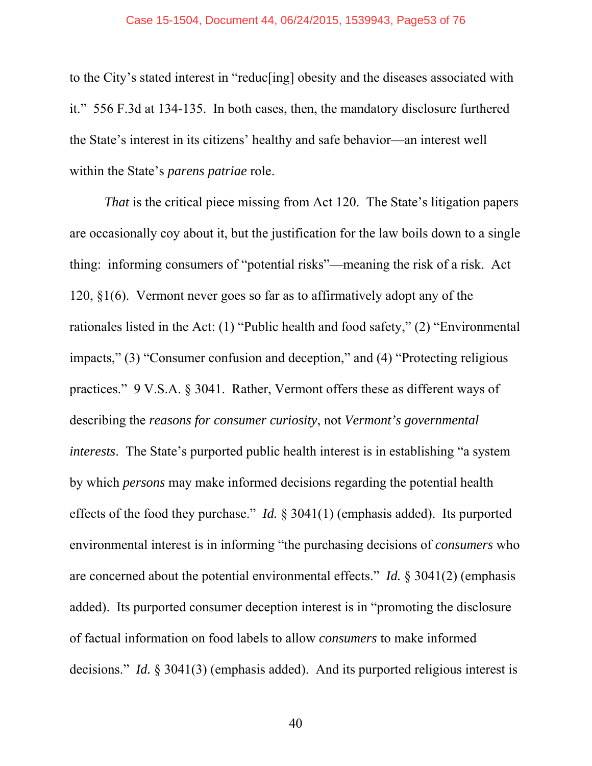#### Case 15-1504, Document 44, 06/24/2015, 1539943, Page53 of 76

to the City's stated interest in "reduc[ing] obesity and the diseases associated with it." 556 F.3d at 134-135. In both cases, then, the mandatory disclosure furthered the State's interest in its citizens' healthy and safe behavior—an interest well within the State's *parens patriae* role.

*That* is the critical piece missing from Act 120. The State's litigation papers are occasionally coy about it, but the justification for the law boils down to a single thing: informing consumers of "potential risks"—meaning the risk of a risk. Act 120, §1(6). Vermont never goes so far as to affirmatively adopt any of the rationales listed in the Act: (1) "Public health and food safety," (2) "Environmental impacts," (3) "Consumer confusion and deception," and (4) "Protecting religious practices." 9 V.S.A. § 3041. Rather, Vermont offers these as different ways of describing the *reasons for consumer curiosity*, not *Vermont's governmental interests*. The State's purported public health interest is in establishing "a system by which *persons* may make informed decisions regarding the potential health effects of the food they purchase." *Id.* § 3041(1) (emphasis added). Its purported environmental interest is in informing "the purchasing decisions of *consumers* who are concerned about the potential environmental effects." *Id.* § 3041(2) (emphasis added). Its purported consumer deception interest is in "promoting the disclosure of factual information on food labels to allow *consumers* to make informed decisions." *Id.* § 3041(3) (emphasis added). And its purported religious interest is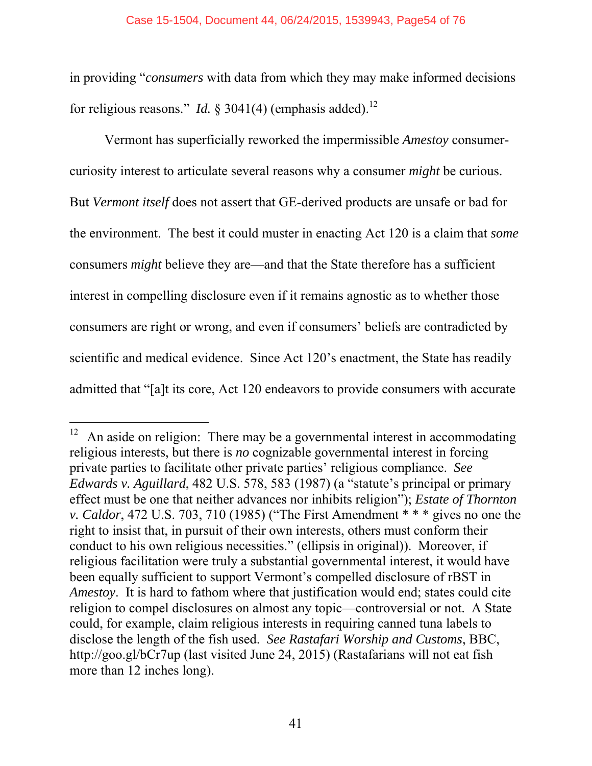in providing "*consumers* with data from which they may make informed decisions for religious reasons." *Id.*  $\frac{1}{2}$  3041(4) (emphasis added).<sup>12</sup>

Vermont has superficially reworked the impermissible *Amestoy* consumercuriosity interest to articulate several reasons why a consumer *might* be curious. But *Vermont itself* does not assert that GE-derived products are unsafe or bad for the environment. The best it could muster in enacting Act 120 is a claim that *some* consumers *might* believe they are—and that the State therefore has a sufficient interest in compelling disclosure even if it remains agnostic as to whether those consumers are right or wrong, and even if consumers' beliefs are contradicted by scientific and medical evidence. Since Act 120's enactment, the State has readily admitted that "[a]t its core, Act 120 endeavors to provide consumers with accurate

 $\overline{a}$  $12$  An aside on religion: There may be a governmental interest in accommodating religious interests, but there is *no* cognizable governmental interest in forcing private parties to facilitate other private parties' religious compliance. *See Edwards v. Aguillard*, 482 U.S. 578, 583 (1987) (a "statute's principal or primary effect must be one that neither advances nor inhibits religion"); *Estate of Thornton v. Caldor*, 472 U.S. 703, 710 (1985) ("The First Amendment \* \* \* gives no one the right to insist that, in pursuit of their own interests, others must conform their conduct to his own religious necessities." (ellipsis in original)). Moreover, if religious facilitation were truly a substantial governmental interest, it would have been equally sufficient to support Vermont's compelled disclosure of rBST in *Amestoy*. It is hard to fathom where that justification would end; states could cite religion to compel disclosures on almost any topic—controversial or not. A State could, for example, claim religious interests in requiring canned tuna labels to disclose the length of the fish used. *See Rastafari Worship and Customs*, BBC, http://goo.gl/bCr7up (last visited June 24, 2015) (Rastafarians will not eat fish more than 12 inches long).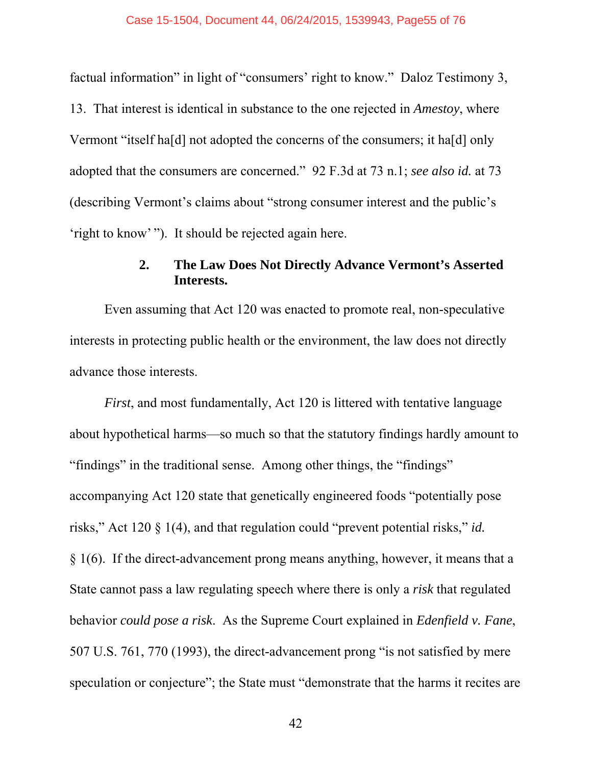factual information" in light of "consumers' right to know." Daloz Testimony 3, 13. That interest is identical in substance to the one rejected in *Amestoy*, where Vermont "itself ha[d] not adopted the concerns of the consumers; it ha[d] only adopted that the consumers are concerned." 92 F.3d at 73 n.1; *see also id.* at 73 (describing Vermont's claims about "strong consumer interest and the public's 'right to know' "). It should be rejected again here.

## **2. The Law Does Not Directly Advance Vermont's Asserted Interests.**

Even assuming that Act 120 was enacted to promote real, non-speculative interests in protecting public health or the environment, the law does not directly advance those interests.

*First*, and most fundamentally, Act 120 is littered with tentative language about hypothetical harms—so much so that the statutory findings hardly amount to "findings" in the traditional sense. Among other things, the "findings" accompanying Act 120 state that genetically engineered foods "potentially pose risks," Act 120 § 1(4), and that regulation could "prevent potential risks," *id.* § 1(6). If the direct-advancement prong means anything, however, it means that a State cannot pass a law regulating speech where there is only a *risk* that regulated behavior *could pose a risk*. As the Supreme Court explained in *Edenfield v. Fane*, 507 U.S. 761, 770 (1993), the direct-advancement prong "is not satisfied by mere speculation or conjecture"; the State must "demonstrate that the harms it recites are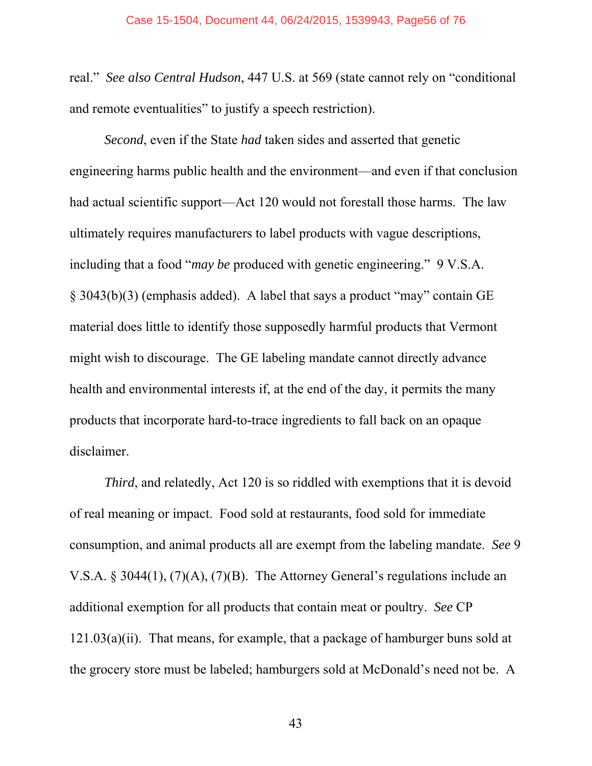real." *See also Central Hudson*, 447 U.S. at 569 (state cannot rely on "conditional and remote eventualities" to justify a speech restriction).

*Second*, even if the State *had* taken sides and asserted that genetic engineering harms public health and the environment—and even if that conclusion had actual scientific support—Act 120 would not forestall those harms. The law ultimately requires manufacturers to label products with vague descriptions, including that a food "*may be* produced with genetic engineering." 9 V.S.A. § 3043(b)(3) (emphasis added). A label that says a product "may" contain GE material does little to identify those supposedly harmful products that Vermont might wish to discourage. The GE labeling mandate cannot directly advance health and environmental interests if, at the end of the day, it permits the many products that incorporate hard-to-trace ingredients to fall back on an opaque disclaimer.

*Third*, and relatedly, Act 120 is so riddled with exemptions that it is devoid of real meaning or impact. Food sold at restaurants, food sold for immediate consumption, and animal products all are exempt from the labeling mandate. *See* 9 V.S.A. § 3044(1), (7)(A), (7)(B). The Attorney General's regulations include an additional exemption for all products that contain meat or poultry. *See* CP  $121.03(a)(ii)$ . That means, for example, that a package of hamburger buns sold at the grocery store must be labeled; hamburgers sold at McDonald's need not be. A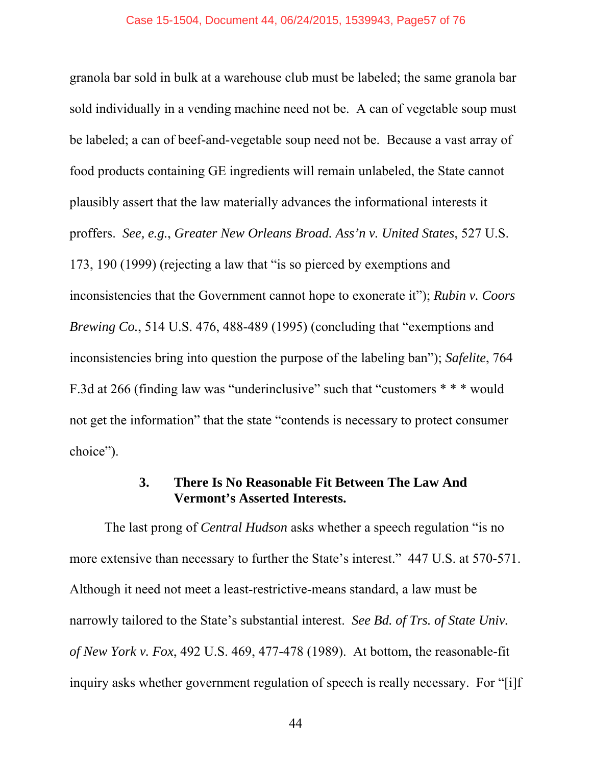granola bar sold in bulk at a warehouse club must be labeled; the same granola bar sold individually in a vending machine need not be. A can of vegetable soup must be labeled; a can of beef-and-vegetable soup need not be. Because a vast array of food products containing GE ingredients will remain unlabeled, the State cannot plausibly assert that the law materially advances the informational interests it proffers. *See, e.g.*, *Greater New Orleans Broad. Ass'n v. United States*, 527 U.S. 173, 190 (1999) (rejecting a law that "is so pierced by exemptions and inconsistencies that the Government cannot hope to exonerate it"); *Rubin v. Coors Brewing Co.*, 514 U.S. 476, 488-489 (1995) (concluding that "exemptions and inconsistencies bring into question the purpose of the labeling ban"); *Safelite*, 764 F.3d at 266 (finding law was "underinclusive" such that "customers \* \* \* would not get the information" that the state "contends is necessary to protect consumer choice").

### **3. There Is No Reasonable Fit Between The Law And Vermont's Asserted Interests.**

The last prong of *Central Hudson* asks whether a speech regulation "is no more extensive than necessary to further the State's interest." 447 U.S. at 570-571. Although it need not meet a least-restrictive-means standard, a law must be narrowly tailored to the State's substantial interest. *See Bd. of Trs. of State Univ. of New York v. Fox*, 492 U.S. 469, 477-478 (1989). At bottom, the reasonable-fit inquiry asks whether government regulation of speech is really necessary. For "[i]f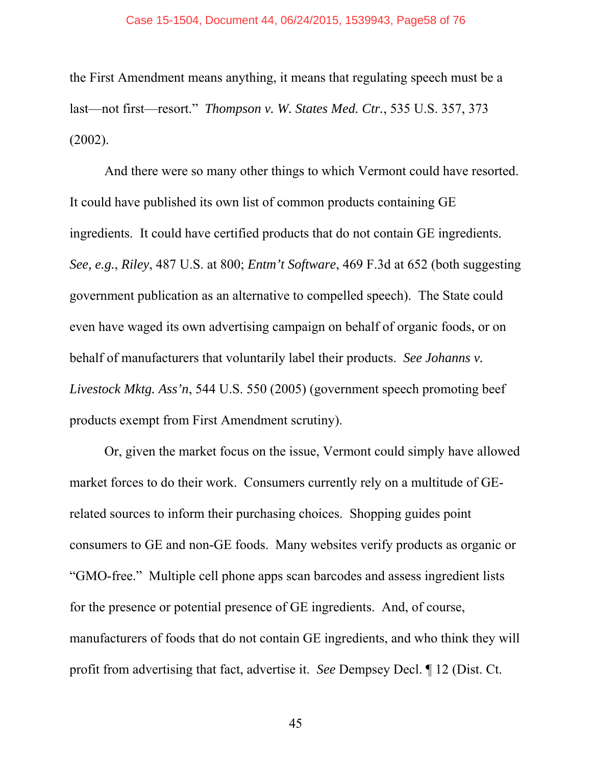the First Amendment means anything, it means that regulating speech must be a last—not first—resort." *Thompson v. W. States Med. Ctr.*, 535 U.S. 357, 373 (2002).

And there were so many other things to which Vermont could have resorted. It could have published its own list of common products containing GE ingredients. It could have certified products that do not contain GE ingredients. *See, e.g.*, *Riley*, 487 U.S. at 800; *Entm't Software*, 469 F.3d at 652 (both suggesting government publication as an alternative to compelled speech). The State could even have waged its own advertising campaign on behalf of organic foods, or on behalf of manufacturers that voluntarily label their products. *See Johanns v. Livestock Mktg. Ass'n*, 544 U.S. 550 (2005) (government speech promoting beef products exempt from First Amendment scrutiny).

Or, given the market focus on the issue, Vermont could simply have allowed market forces to do their work. Consumers currently rely on a multitude of GErelated sources to inform their purchasing choices. Shopping guides point consumers to GE and non-GE foods. Many websites verify products as organic or "GMO-free." Multiple cell phone apps scan barcodes and assess ingredient lists for the presence or potential presence of GE ingredients. And, of course, manufacturers of foods that do not contain GE ingredients, and who think they will profit from advertising that fact, advertise it. *See* Dempsey Decl. ¶ 12 (Dist. Ct.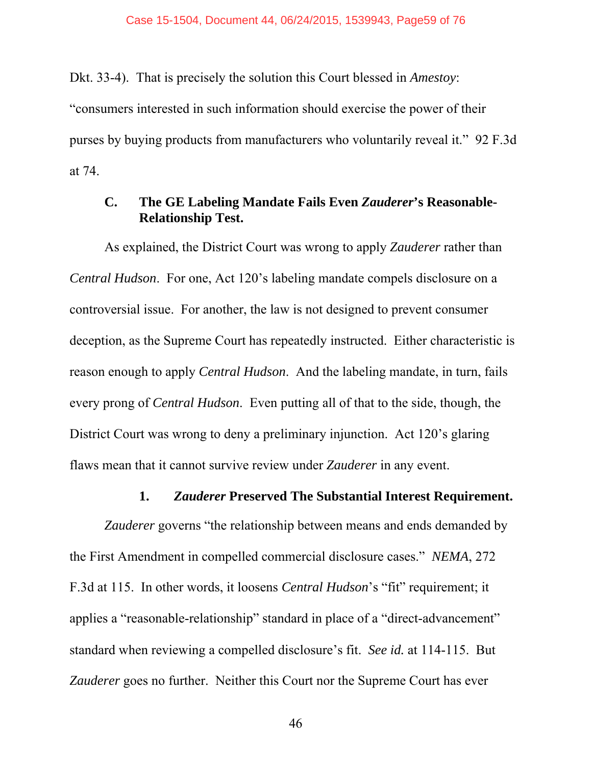Dkt. 33-4). That is precisely the solution this Court blessed in *Amestoy*:

"consumers interested in such information should exercise the power of their purses by buying products from manufacturers who voluntarily reveal it." 92 F.3d at 74.

### **C. The GE Labeling Mandate Fails Even** *Zauderer***'s Reasonable-Relationship Test.**

As explained, the District Court was wrong to apply *Zauderer* rather than *Central Hudson*. For one, Act 120's labeling mandate compels disclosure on a controversial issue. For another, the law is not designed to prevent consumer deception, as the Supreme Court has repeatedly instructed. Either characteristic is reason enough to apply *Central Hudson*. And the labeling mandate, in turn, fails every prong of *Central Hudson*. Even putting all of that to the side, though, the District Court was wrong to deny a preliminary injunction. Act 120's glaring flaws mean that it cannot survive review under *Zauderer* in any event.

### **1.** *Zauderer* **Preserved The Substantial Interest Requirement.**

*Zauderer* governs "the relationship between means and ends demanded by the First Amendment in compelled commercial disclosure cases." *NEMA*, 272 F.3d at 115. In other words, it loosens *Central Hudson*'s "fit" requirement; it applies a "reasonable-relationship" standard in place of a "direct-advancement" standard when reviewing a compelled disclosure's fit. *See id.* at 114-115. But *Zauderer* goes no further. Neither this Court nor the Supreme Court has ever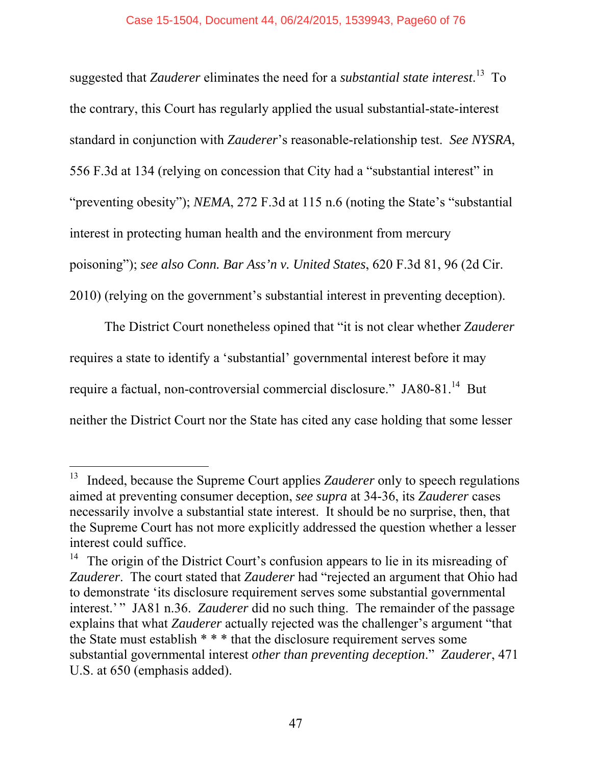suggested that *Zauderer* eliminates the need for a *substantial state interest*. 13 To the contrary, this Court has regularly applied the usual substantial-state-interest standard in conjunction with *Zauderer*'s reasonable-relationship test. *See NYSRA*, 556 F.3d at 134 (relying on concession that City had a "substantial interest" in "preventing obesity"); *NEMA*, 272 F.3d at 115 n.6 (noting the State's "substantial" interest in protecting human health and the environment from mercury poisoning"); *see also Conn. Bar Ass'n v. United States*, 620 F.3d 81, 96 (2d Cir. 2010) (relying on the government's substantial interest in preventing deception).

The District Court nonetheless opined that "it is not clear whether *Zauderer* requires a state to identify a 'substantial' governmental interest before it may require a factual, non-controversial commercial disclosure." JA80-81.<sup>14</sup> But neither the District Court nor the State has cited any case holding that some lesser

-

<sup>&</sup>lt;sup>13</sup> Indeed, because the Supreme Court applies *Zauderer* only to speech regulations aimed at preventing consumer deception, *see supra* at 34-36, its *Zauderer* cases necessarily involve a substantial state interest. It should be no surprise, then, that the Supreme Court has not more explicitly addressed the question whether a lesser interest could suffice.

<sup>&</sup>lt;sup>14</sup> The origin of the District Court's confusion appears to lie in its misreading of *Zauderer*. The court stated that *Zauderer* had "rejected an argument that Ohio had to demonstrate 'its disclosure requirement serves some substantial governmental interest.'" JA81 n.36. *Zauderer* did no such thing. The remainder of the passage explains that what *Zauderer* actually rejected was the challenger's argument "that the State must establish \* \* \* that the disclosure requirement serves some substantial governmental interest *other than preventing deception*." *Zauderer*, 471 U.S. at 650 (emphasis added).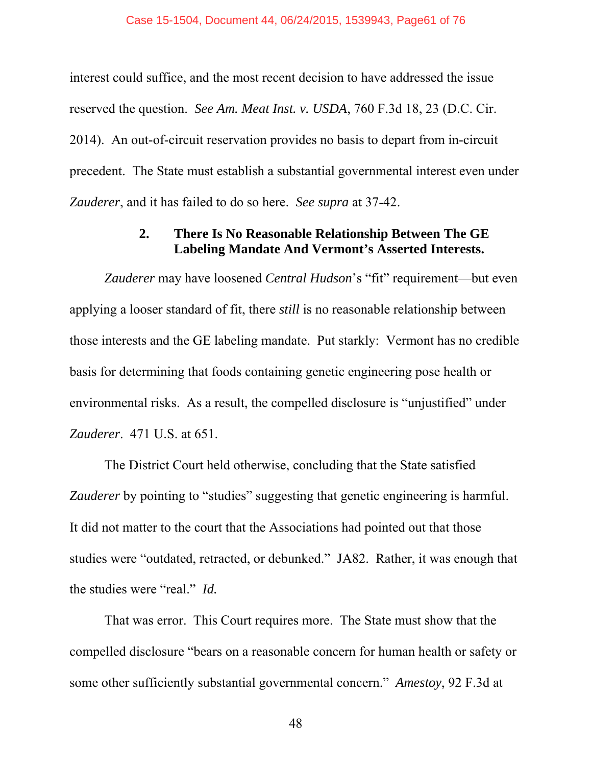interest could suffice, and the most recent decision to have addressed the issue reserved the question. *See Am. Meat Inst. v. USDA*, 760 F.3d 18, 23 (D.C. Cir. 2014). An out-of-circuit reservation provides no basis to depart from in-circuit precedent. The State must establish a substantial governmental interest even under *Zauderer*, and it has failed to do so here. *See supra* at 37-42.

## **2. There Is No Reasonable Relationship Between The GE Labeling Mandate And Vermont's Asserted Interests.**

*Zauderer* may have loosened *Central Hudson*'s "fit" requirement—but even applying a looser standard of fit, there *still* is no reasonable relationship between those interests and the GE labeling mandate. Put starkly: Vermont has no credible basis for determining that foods containing genetic engineering pose health or environmental risks. As a result, the compelled disclosure is "unjustified" under *Zauderer*. 471 U.S. at 651.

The District Court held otherwise, concluding that the State satisfied *Zauderer* by pointing to "studies" suggesting that genetic engineering is harmful. It did not matter to the court that the Associations had pointed out that those studies were "outdated, retracted, or debunked." JA82. Rather, it was enough that the studies were "real." *Id.*

That was error. This Court requires more. The State must show that the compelled disclosure "bears on a reasonable concern for human health or safety or some other sufficiently substantial governmental concern." *Amestoy*, 92 F.3d at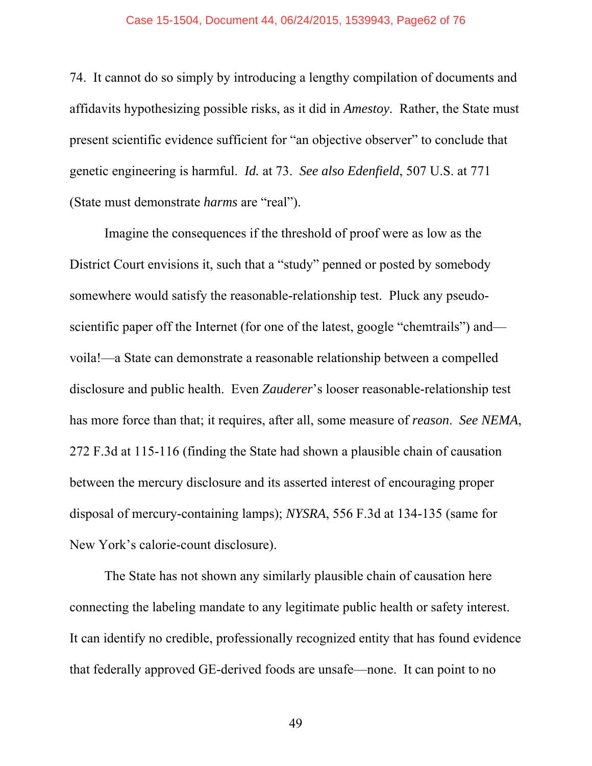74. It cannot do so simply by introducing a lengthy compilation of documents and affidavits hypothesizing possible risks, as it did in *Amestoy*. Rather, the State must present scientific evidence sufficient for "an objective observer" to conclude that genetic engineering is harmful. *Id.* at 73. *See also Edenfield*, 507 U.S. at 771 (State must demonstrate *harms* are "real").

Imagine the consequences if the threshold of proof were as low as the District Court envisions it, such that a "study" penned or posted by somebody somewhere would satisfy the reasonable-relationship test. Pluck any pseudoscientific paper off the Internet (for one of the latest, google "chemtrails") and voila!—a State can demonstrate a reasonable relationship between a compelled disclosure and public health. Even *Zauderer*'s looser reasonable-relationship test has more force than that; it requires, after all, some measure of *reason*. *See NEMA*, 272 F.3d at 115-116 (finding the State had shown a plausible chain of causation between the mercury disclosure and its asserted interest of encouraging proper disposal of mercury-containing lamps); *NYSRA*, 556 F.3d at 134-135 (same for New York's calorie-count disclosure).

The State has not shown any similarly plausible chain of causation here connecting the labeling mandate to any legitimate public health or safety interest. It can identify no credible, professionally recognized entity that has found evidence that federally approved GE-derived foods are unsafe—none. It can point to no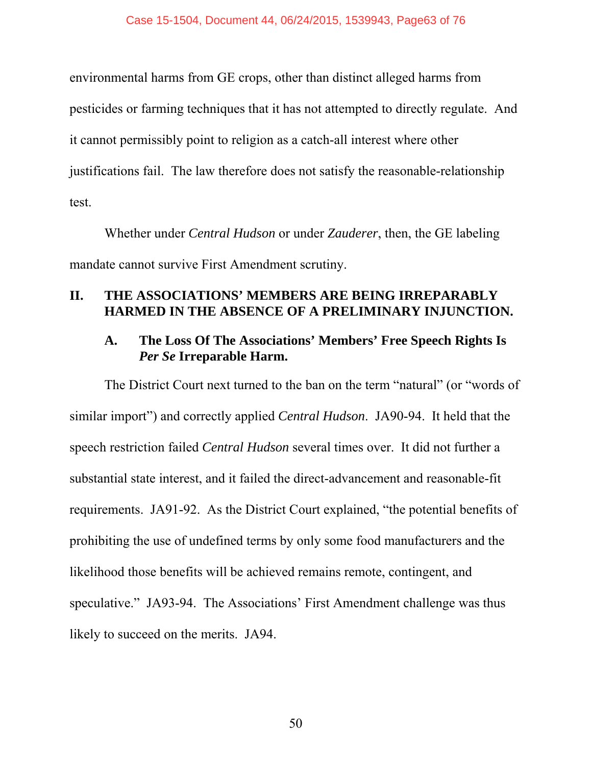environmental harms from GE crops, other than distinct alleged harms from pesticides or farming techniques that it has not attempted to directly regulate. And it cannot permissibly point to religion as a catch-all interest where other justifications fail. The law therefore does not satisfy the reasonable-relationship test.

Whether under *Central Hudson* or under *Zauderer*, then, the GE labeling mandate cannot survive First Amendment scrutiny.

## **II. THE ASSOCIATIONS' MEMBERS ARE BEING IRREPARABLY HARMED IN THE ABSENCE OF A PRELIMINARY INJUNCTION.**

## **A. The Loss Of The Associations' Members' Free Speech Rights Is**  *Per Se* **Irreparable Harm.**

The District Court next turned to the ban on the term "natural" (or "words of similar import") and correctly applied *Central Hudson*. JA90-94. It held that the speech restriction failed *Central Hudson* several times over. It did not further a substantial state interest, and it failed the direct-advancement and reasonable-fit requirements. JA91-92. As the District Court explained, "the potential benefits of prohibiting the use of undefined terms by only some food manufacturers and the likelihood those benefits will be achieved remains remote, contingent, and speculative." JA93-94. The Associations' First Amendment challenge was thus likely to succeed on the merits. JA94.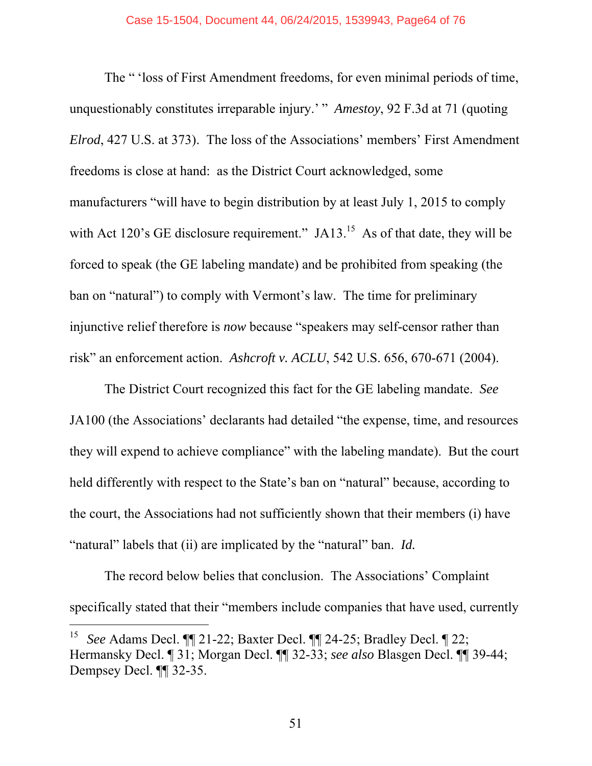The " 'loss of First Amendment freedoms, for even minimal periods of time, unquestionably constitutes irreparable injury.' " *Amestoy*, 92 F.3d at 71 (quoting *Elrod*, 427 U.S. at 373). The loss of the Associations' members' First Amendment freedoms is close at hand: as the District Court acknowledged, some manufacturers "will have to begin distribution by at least July 1, 2015 to comply with Act 120's GE disclosure requirement." JA13.<sup>15</sup> As of that date, they will be forced to speak (the GE labeling mandate) and be prohibited from speaking (the ban on "natural") to comply with Vermont's law. The time for preliminary injunctive relief therefore is *now* because "speakers may self-censor rather than risk" an enforcement action. *Ashcroft v. ACLU*, 542 U.S. 656, 670-671 (2004).

The District Court recognized this fact for the GE labeling mandate. *See*  JA100 (the Associations' declarants had detailed "the expense, time, and resources they will expend to achieve compliance" with the labeling mandate). But the court held differently with respect to the State's ban on "natural" because, according to the court, the Associations had not sufficiently shown that their members (i) have "natural" labels that (ii) are implicated by the "natural" ban. *Id.*

The record below belies that conclusion. The Associations' Complaint specifically stated that their "members include companies that have used, currently

-

<sup>15</sup> *See* Adams Decl. ¶¶ 21-22; Baxter Decl. ¶¶ 24-25; Bradley Decl. ¶ 22; Hermansky Decl. ¶ 31; Morgan Decl. ¶¶ 32-33; *see also* Blasgen Decl. ¶¶ 39-44; Dempsey Decl. ¶¶ 32-35.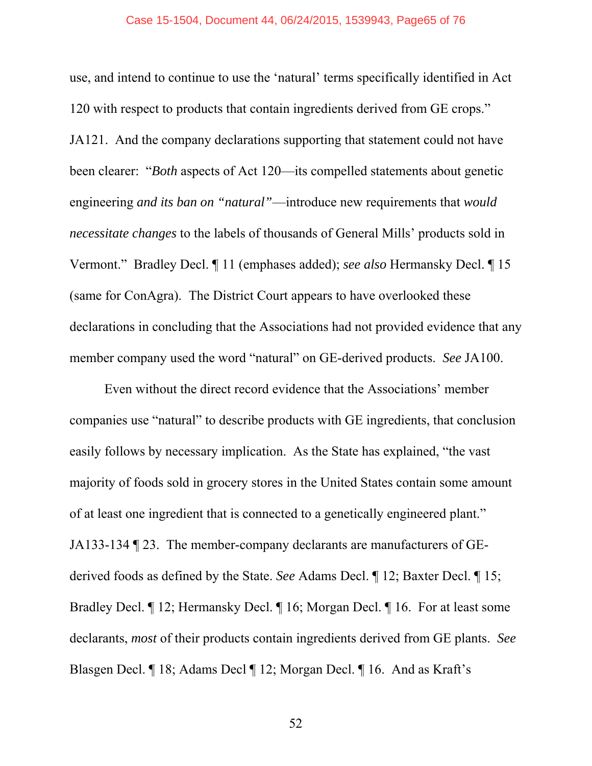use, and intend to continue to use the 'natural' terms specifically identified in Act 120 with respect to products that contain ingredients derived from GE crops." JA121. And the company declarations supporting that statement could not have been clearer: "*Both* aspects of Act 120—its compelled statements about genetic engineering *and its ban on "natural"*—introduce new requirements that *would necessitate changes* to the labels of thousands of General Mills' products sold in Vermont." Bradley Decl. ¶ 11 (emphases added); *see also* Hermansky Decl. ¶ 15 (same for ConAgra). The District Court appears to have overlooked these declarations in concluding that the Associations had not provided evidence that any member company used the word "natural" on GE-derived products. *See* JA100.

Even without the direct record evidence that the Associations' member companies use "natural" to describe products with GE ingredients, that conclusion easily follows by necessary implication. As the State has explained, "the vast majority of foods sold in grocery stores in the United States contain some amount of at least one ingredient that is connected to a genetically engineered plant." JA133-134 ¶ 23. The member-company declarants are manufacturers of GEderived foods as defined by the State. *See* Adams Decl. ¶ 12; Baxter Decl. ¶ 15; Bradley Decl. ¶ 12; Hermansky Decl. ¶ 16; Morgan Decl. ¶ 16. For at least some declarants, *most* of their products contain ingredients derived from GE plants. *See* Blasgen Decl. ¶ 18; Adams Decl ¶ 12; Morgan Decl. ¶ 16. And as Kraft's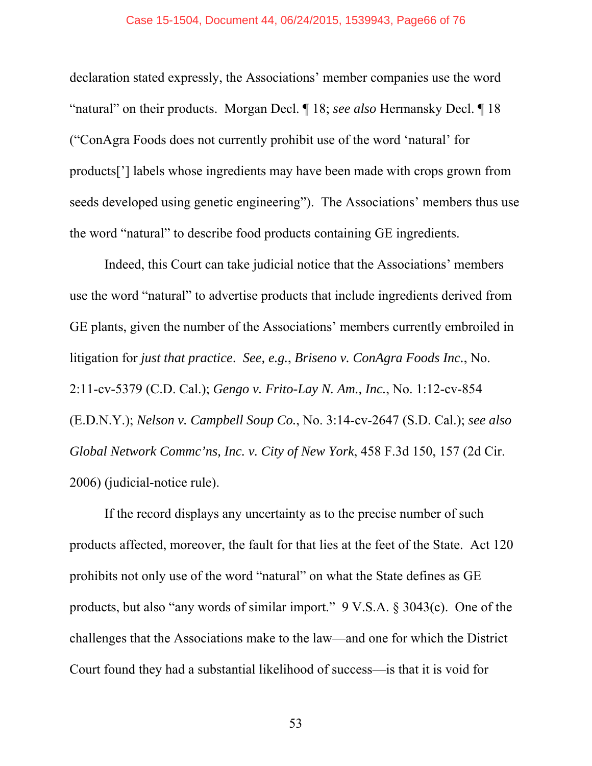declaration stated expressly, the Associations' member companies use the word "natural" on their products. Morgan Decl. ¶ 18; *see also* Hermansky Decl. ¶ 18 ("ConAgra Foods does not currently prohibit use of the word 'natural' for products['] labels whose ingredients may have been made with crops grown from seeds developed using genetic engineering"). The Associations' members thus use the word "natural" to describe food products containing GE ingredients.

Indeed, this Court can take judicial notice that the Associations' members use the word "natural" to advertise products that include ingredients derived from GE plants, given the number of the Associations' members currently embroiled in litigation for *just that practice*. *See, e.g.*, *Briseno v. ConAgra Foods Inc.*, No. 2:11-cv-5379 (C.D. Cal.); *Gengo v. Frito-Lay N. Am., Inc.*, No. 1:12-cv-854 (E.D.N.Y.); *Nelson v. Campbell Soup Co.*, No. 3:14-cv-2647 (S.D. Cal.); *see also Global Network Commc'ns, Inc. v. City of New York*, 458 F.3d 150, 157 (2d Cir. 2006) (judicial-notice rule).

If the record displays any uncertainty as to the precise number of such products affected, moreover, the fault for that lies at the feet of the State. Act 120 prohibits not only use of the word "natural" on what the State defines as GE products, but also "any words of similar import." 9 V.S.A. § 3043(c). One of the challenges that the Associations make to the law—and one for which the District Court found they had a substantial likelihood of success—is that it is void for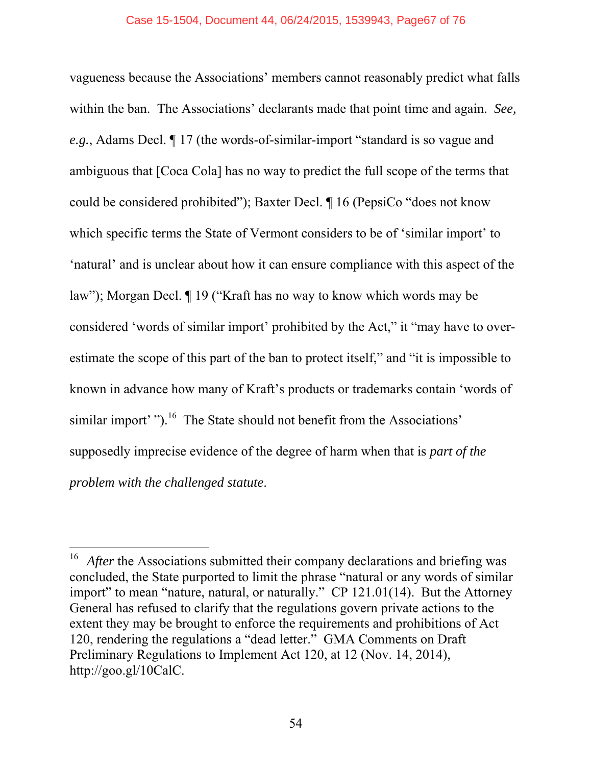vagueness because the Associations' members cannot reasonably predict what falls within the ban. The Associations' declarants made that point time and again. *See, e.g.*, Adams Decl. ¶ 17 (the words-of-similar-import "standard is so vague and ambiguous that [Coca Cola] has no way to predict the full scope of the terms that could be considered prohibited"); Baxter Decl. ¶ 16 (PepsiCo "does not know which specific terms the State of Vermont considers to be of 'similar import' to 'natural' and is unclear about how it can ensure compliance with this aspect of the law"); Morgan Decl. ¶ 19 ("Kraft has no way to know which words may be considered 'words of similar import' prohibited by the Act," it "may have to overestimate the scope of this part of the ban to protect itself," and "it is impossible to known in advance how many of Kraft's products or trademarks contain 'words of similar import'  $\cdot$ ").<sup>16</sup> The State should not benefit from the Associations' supposedly imprecise evidence of the degree of harm when that is *part of the problem with the challenged statute*.

-

After the Associations submitted their company declarations and briefing was concluded, the State purported to limit the phrase "natural or any words of similar import" to mean "nature, natural, or naturally." CP 121.01(14). But the Attorney General has refused to clarify that the regulations govern private actions to the extent they may be brought to enforce the requirements and prohibitions of Act 120, rendering the regulations a "dead letter." GMA Comments on Draft Preliminary Regulations to Implement Act 120, at 12 (Nov. 14, 2014), http://goo.gl/10CalC.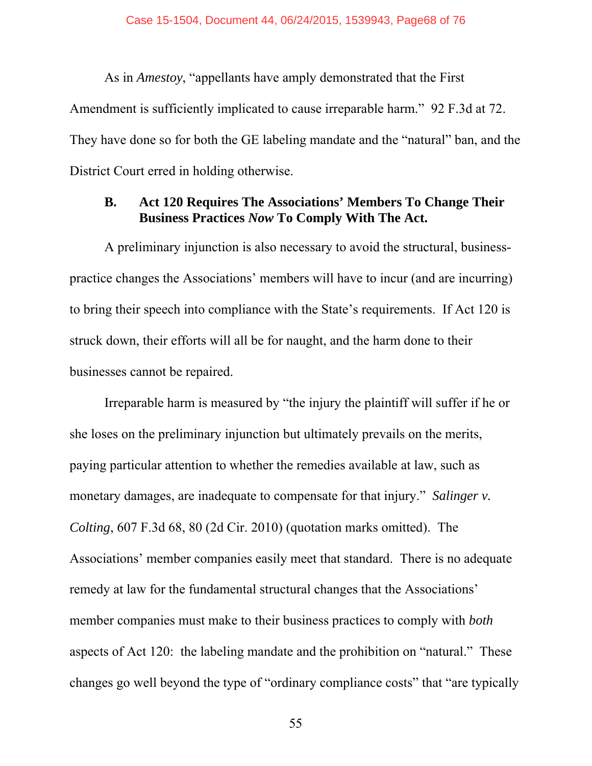As in *Amestoy*, "appellants have amply demonstrated that the First Amendment is sufficiently implicated to cause irreparable harm." 92 F.3d at 72. They have done so for both the GE labeling mandate and the "natural" ban, and the District Court erred in holding otherwise.

### **B. Act 120 Requires The Associations' Members To Change Their Business Practices** *Now* **To Comply With The Act.**

A preliminary injunction is also necessary to avoid the structural, businesspractice changes the Associations' members will have to incur (and are incurring) to bring their speech into compliance with the State's requirements. If Act 120 is struck down, their efforts will all be for naught, and the harm done to their businesses cannot be repaired.

Irreparable harm is measured by "the injury the plaintiff will suffer if he or she loses on the preliminary injunction but ultimately prevails on the merits, paying particular attention to whether the remedies available at law, such as monetary damages, are inadequate to compensate for that injury." *Salinger v. Colting*, 607 F.3d 68, 80 (2d Cir. 2010) (quotation marks omitted). The Associations' member companies easily meet that standard. There is no adequate remedy at law for the fundamental structural changes that the Associations' member companies must make to their business practices to comply with *both* aspects of Act 120: the labeling mandate and the prohibition on "natural." These changes go well beyond the type of "ordinary compliance costs" that "are typically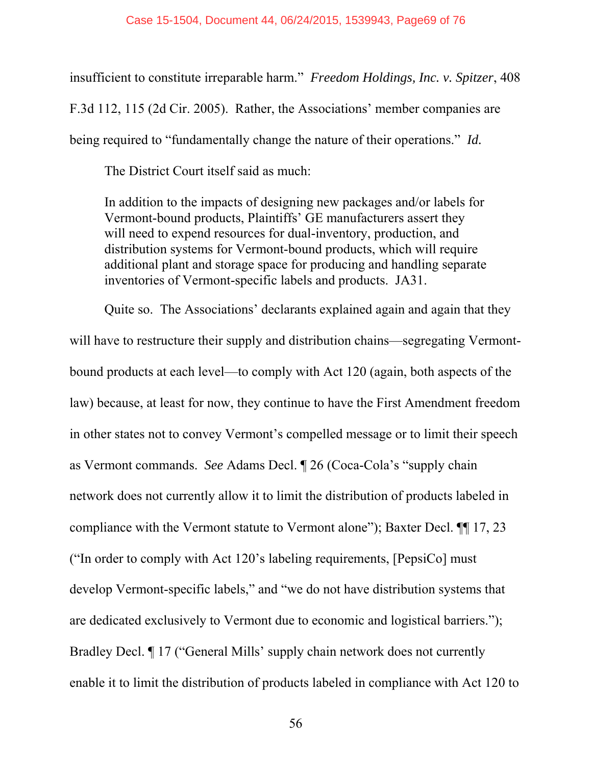insufficient to constitute irreparable harm." *Freedom Holdings, Inc. v. Spitzer*, 408 F.3d 112, 115 (2d Cir. 2005). Rather, the Associations' member companies are being required to "fundamentally change the nature of their operations." *Id.*

The District Court itself said as much:

In addition to the impacts of designing new packages and/or labels for Vermont-bound products, Plaintiffs' GE manufacturers assert they will need to expend resources for dual-inventory, production, and distribution systems for Vermont-bound products, which will require additional plant and storage space for producing and handling separate inventories of Vermont-specific labels and products. JA31.

Quite so. The Associations' declarants explained again and again that they will have to restructure their supply and distribution chains—segregating Vermontbound products at each level—to comply with Act 120 (again, both aspects of the law) because, at least for now, they continue to have the First Amendment freedom in other states not to convey Vermont's compelled message or to limit their speech as Vermont commands. *See* Adams Decl. ¶ 26 (Coca-Cola's "supply chain network does not currently allow it to limit the distribution of products labeled in compliance with the Vermont statute to Vermont alone"); Baxter Decl. ¶¶ 17, 23 ("In order to comply with Act 120's labeling requirements, [PepsiCo] must develop Vermont-specific labels," and "we do not have distribution systems that are dedicated exclusively to Vermont due to economic and logistical barriers."); Bradley Decl. ¶ 17 ("General Mills' supply chain network does not currently enable it to limit the distribution of products labeled in compliance with Act 120 to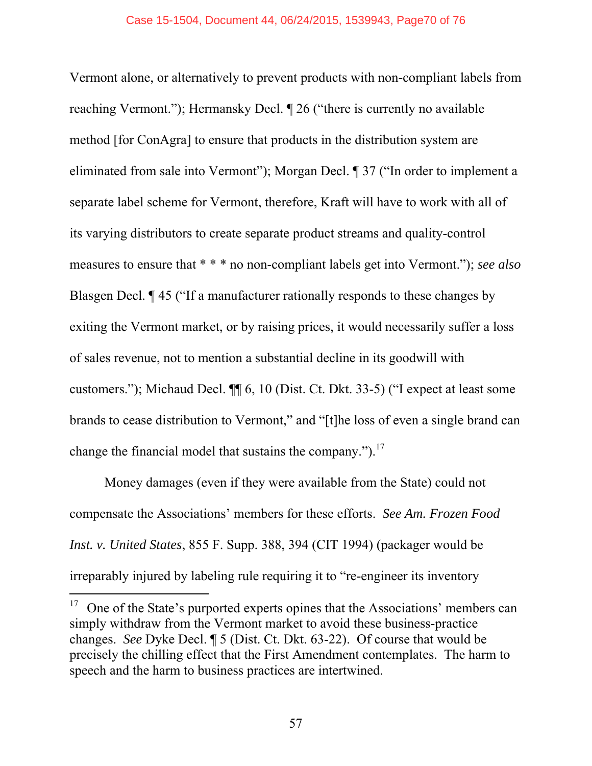Vermont alone, or alternatively to prevent products with non-compliant labels from reaching Vermont."); Hermansky Decl. ¶ 26 ("there is currently no available method [for ConAgra] to ensure that products in the distribution system are eliminated from sale into Vermont"); Morgan Decl. ¶ 37 ("In order to implement a separate label scheme for Vermont, therefore, Kraft will have to work with all of its varying distributors to create separate product streams and quality-control measures to ensure that \* \* \* no non-compliant labels get into Vermont."); *see also* Blasgen Decl. ¶ 45 ("If a manufacturer rationally responds to these changes by exiting the Vermont market, or by raising prices, it would necessarily suffer a loss of sales revenue, not to mention a substantial decline in its goodwill with customers."); Michaud Decl. ¶¶ 6, 10 (Dist. Ct. Dkt. 33-5) ("I expect at least some brands to cease distribution to Vermont," and "[t]he loss of even a single brand can change the financial model that sustains the company." $)^{17}$ .

Money damages (even if they were available from the State) could not compensate the Associations' members for these efforts. *See Am. Frozen Food Inst. v. United States*, 855 F. Supp. 388, 394 (CIT 1994) (packager would be irreparably injured by labeling rule requiring it to "re-engineer its inventory

l

 $17$  One of the State's purported experts opines that the Associations' members can simply withdraw from the Vermont market to avoid these business-practice changes. *See* Dyke Decl. ¶ 5 (Dist. Ct. Dkt. 63-22). Of course that would be precisely the chilling effect that the First Amendment contemplates. The harm to speech and the harm to business practices are intertwined.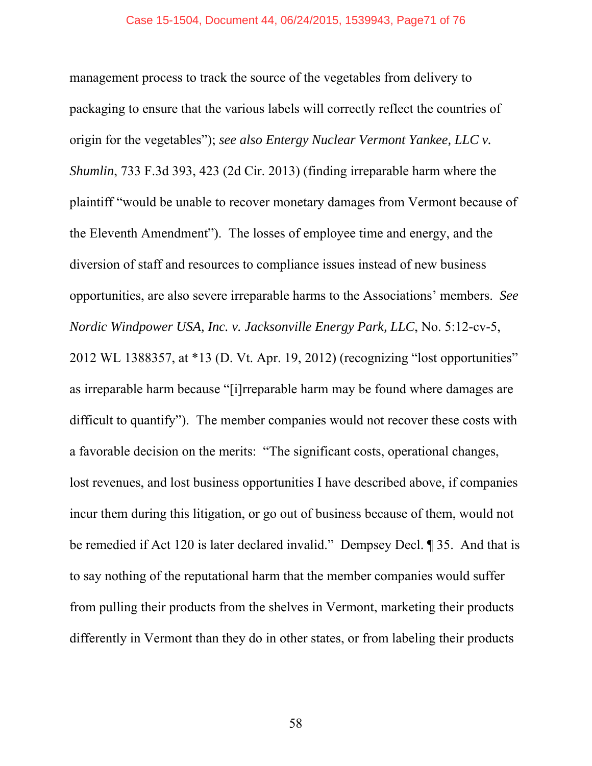management process to track the source of the vegetables from delivery to packaging to ensure that the various labels will correctly reflect the countries of origin for the vegetables"); *see also Entergy Nuclear Vermont Yankee, LLC v. Shumlin*, 733 F.3d 393, 423 (2d Cir. 2013) (finding irreparable harm where the plaintiff "would be unable to recover monetary damages from Vermont because of the Eleventh Amendment"). The losses of employee time and energy, and the diversion of staff and resources to compliance issues instead of new business opportunities, are also severe irreparable harms to the Associations' members. *See Nordic Windpower USA, Inc. v. Jacksonville Energy Park, LLC*, No. 5:12-cv-5, 2012 WL 1388357, at \*13 (D. Vt. Apr. 19, 2012) (recognizing "lost opportunities" as irreparable harm because "[i]rreparable harm may be found where damages are difficult to quantify"). The member companies would not recover these costs with a favorable decision on the merits: "The significant costs, operational changes, lost revenues, and lost business opportunities I have described above, if companies incur them during this litigation, or go out of business because of them, would not be remedied if Act 120 is later declared invalid." Dempsey Decl. ¶ 35. And that is to say nothing of the reputational harm that the member companies would suffer from pulling their products from the shelves in Vermont, marketing their products differently in Vermont than they do in other states, or from labeling their products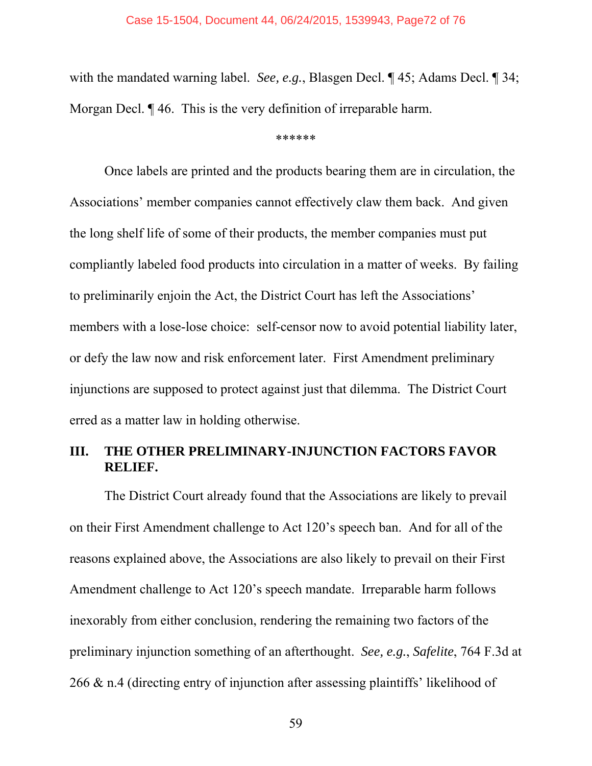with the mandated warning label. *See, e.g.*, Blasgen Decl. ¶ 45; Adams Decl. ¶ 34; Morgan Decl. ¶ 46. This is the very definition of irreparable harm.

\*\*\*\*\*\*

Once labels are printed and the products bearing them are in circulation, the Associations' member companies cannot effectively claw them back. And given the long shelf life of some of their products, the member companies must put compliantly labeled food products into circulation in a matter of weeks. By failing to preliminarily enjoin the Act, the District Court has left the Associations' members with a lose-lose choice: self-censor now to avoid potential liability later, or defy the law now and risk enforcement later. First Amendment preliminary injunctions are supposed to protect against just that dilemma. The District Court erred as a matter law in holding otherwise.

### **III. THE OTHER PRELIMINARY-INJUNCTION FACTORS FAVOR RELIEF.**

The District Court already found that the Associations are likely to prevail on their First Amendment challenge to Act 120's speech ban. And for all of the reasons explained above, the Associations are also likely to prevail on their First Amendment challenge to Act 120's speech mandate. Irreparable harm follows inexorably from either conclusion, rendering the remaining two factors of the preliminary injunction something of an afterthought. *See, e.g.*, *Safelite*, 764 F.3d at 266 & n.4 (directing entry of injunction after assessing plaintiffs' likelihood of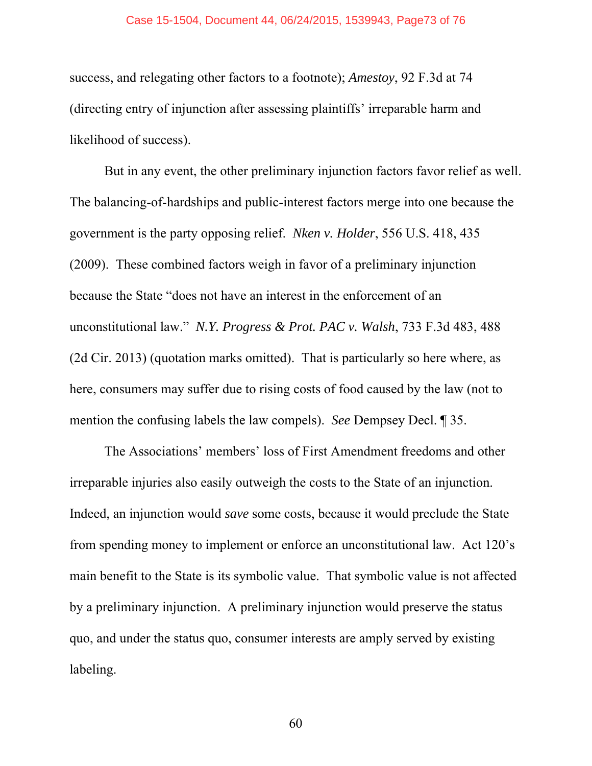## Case 15-1504, Document 44, 06/24/2015, 1539943, Page73 of 76

success, and relegating other factors to a footnote); *Amestoy*, 92 F.3d at 74 (directing entry of injunction after assessing plaintiffs' irreparable harm and likelihood of success).

But in any event, the other preliminary injunction factors favor relief as well. The balancing-of-hardships and public-interest factors merge into one because the government is the party opposing relief. *Nken v. Holder*, 556 U.S. 418, 435 (2009). These combined factors weigh in favor of a preliminary injunction because the State "does not have an interest in the enforcement of an unconstitutional law." *N.Y. Progress & Prot. PAC v. Walsh*, 733 F.3d 483, 488 (2d Cir. 2013) (quotation marks omitted). That is particularly so here where, as here, consumers may suffer due to rising costs of food caused by the law (not to mention the confusing labels the law compels). *See* Dempsey Decl. ¶ 35.

The Associations' members' loss of First Amendment freedoms and other irreparable injuries also easily outweigh the costs to the State of an injunction. Indeed, an injunction would *save* some costs, because it would preclude the State from spending money to implement or enforce an unconstitutional law. Act 120's main benefit to the State is its symbolic value. That symbolic value is not affected by a preliminary injunction. A preliminary injunction would preserve the status quo, and under the status quo, consumer interests are amply served by existing labeling.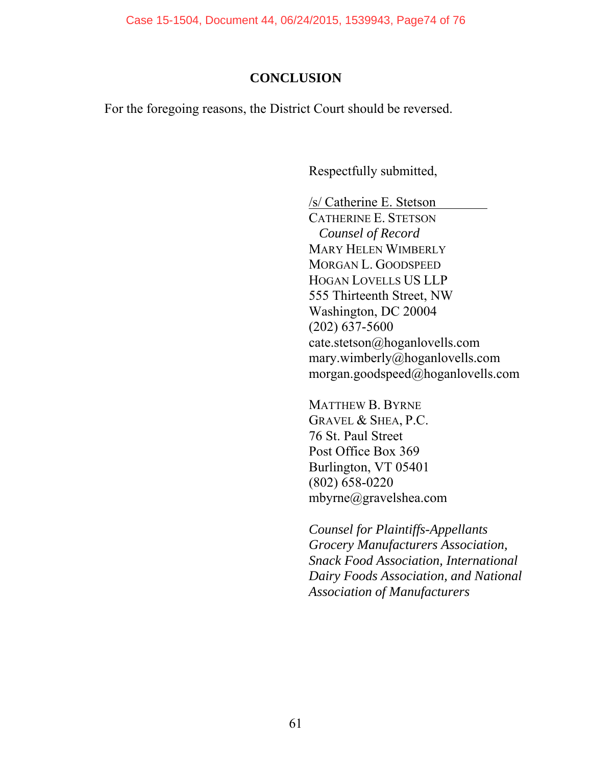Case 15-1504, Document 44, 06/24/2015, 1539943, Page74 of 76

## **CONCLUSION**

For the foregoing reasons, the District Court should be reversed.

Respectfully submitted,

/s/ Catherine E. Stetson

CATHERINE E. STETSON *Counsel of Record*  MARY HELEN WIMBERLY MORGAN L. GOODSPEED HOGAN LOVELLS US LLP 555 Thirteenth Street, NW Washington, DC 20004 (202) 637-5600 cate.stetson@hoganlovells.com mary.wimberly@hoganlovells.com morgan.goodspeed@hoganlovells.com

MATTHEW B. BYRNE GRAVEL & SHEA, P.C. 76 St. Paul Street Post Office Box 369 Burlington, VT 05401 (802) 658-0220 mbyrne@gravelshea.com

*Counsel for Plaintiffs-Appellants Grocery Manufacturers Association, Snack Food Association, International Dairy Foods Association, and National Association of Manufacturers*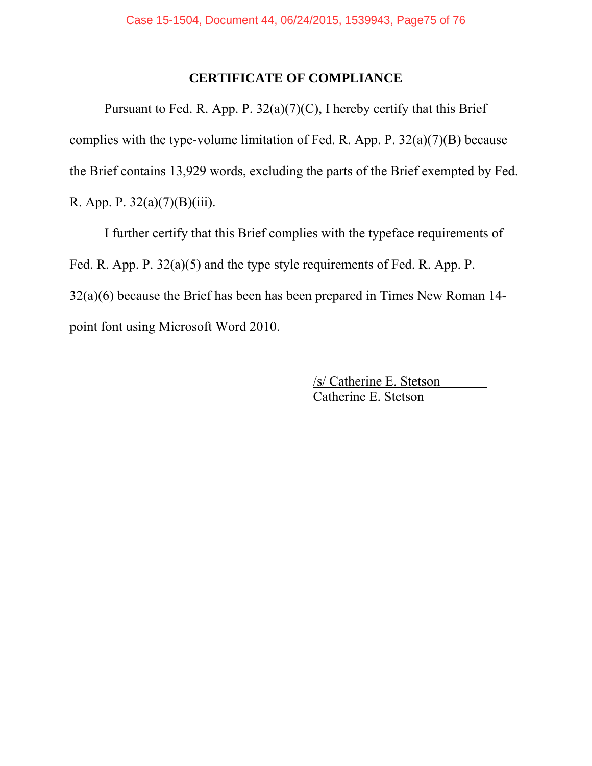## **CERTIFICATE OF COMPLIANCE**

Pursuant to Fed. R. App. P.  $32(a)(7)(C)$ , I hereby certify that this Brief complies with the type-volume limitation of Fed. R. App. P.  $32(a)(7)(B)$  because the Brief contains 13,929 words, excluding the parts of the Brief exempted by Fed. R. App. P.  $32(a)(7)(B)(iii)$ .

I further certify that this Brief complies with the typeface requirements of Fed. R. App. P. 32(a)(5) and the type style requirements of Fed. R. App. P. 32(a)(6) because the Brief has been has been prepared in Times New Roman 14 point font using Microsoft Word 2010.

> /s/ Catherine E. Stetson Catherine E. Stetson